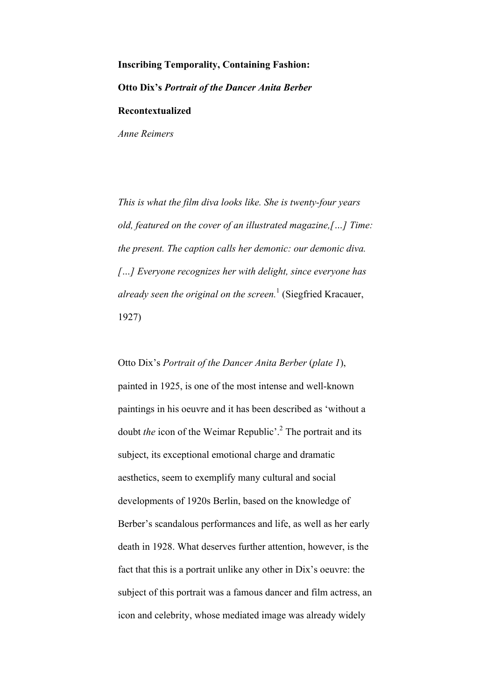### **Inscribing Temporality, Containing Fashion: Otto Dix's** *Portrait of the Dancer Anita Berber*

**Recontextualized**

*Anne Reimers*

*This is what the film diva looks like. She is twenty-four years old, featured on the cover of an illustrated magazine,[…] Time: the present. The caption calls her demonic: our demonic diva. […] Everyone recognizes her with delight, since everyone has already seen the original on the screen.*<sup>1</sup> (Siegfried Kracauer, 1927)

Otto Dix's *Portrait of the Dancer Anita Berber* (*plate 1*), painted in 1925, is one of the most intense and well-known paintings in his oeuvre and it has been described as 'without a doubt *the* icon of the Weimar Republic'. <sup>2</sup> The portrait and its subject, its exceptional emotional charge and dramatic aesthetics, seem to exemplify many cultural and social developments of 1920s Berlin, based on the knowledge of Berber's scandalous performances and life, as well as her early death in 1928. What deserves further attention, however, is the fact that this is a portrait unlike any other in Dix's oeuvre: the subject of this portrait was a famous dancer and film actress, an icon and celebrity, whose mediated image was already widely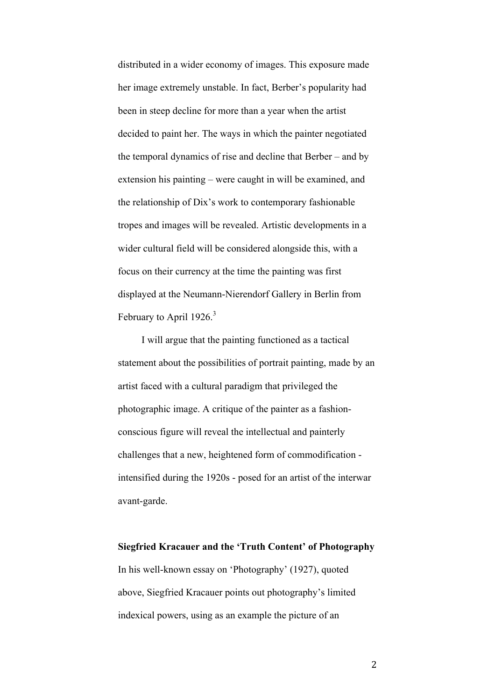distributed in a wider economy of images. This exposure made her image extremely unstable. In fact, Berber's popularity had been in steep decline for more than a year when the artist decided to paint her. The ways in which the painter negotiated the temporal dynamics of rise and decline that Berber – and by extension his painting – were caught in will be examined, and the relationship of Dix's work to contemporary fashionable tropes and images will be revealed. Artistic developments in a wider cultural field will be considered alongside this, with a focus on their currency at the time the painting was first displayed at the Neumann-Nierendorf Gallery in Berlin from February to April  $1926$ <sup>3</sup>

I will argue that the painting functioned as a tactical statement about the possibilities of portrait painting, made by an artist faced with a cultural paradigm that privileged the photographic image. A critique of the painter as a fashionconscious figure will reveal the intellectual and painterly challenges that a new, heightened form of commodification intensified during the 1920s - posed for an artist of the interwar avant-garde.

# **Siegfried Kracauer and the 'Truth Content' of Photography** In his well-known essay on 'Photography' (1927), quoted above, Siegfried Kracauer points out photography's limited indexical powers, using as an example the picture of an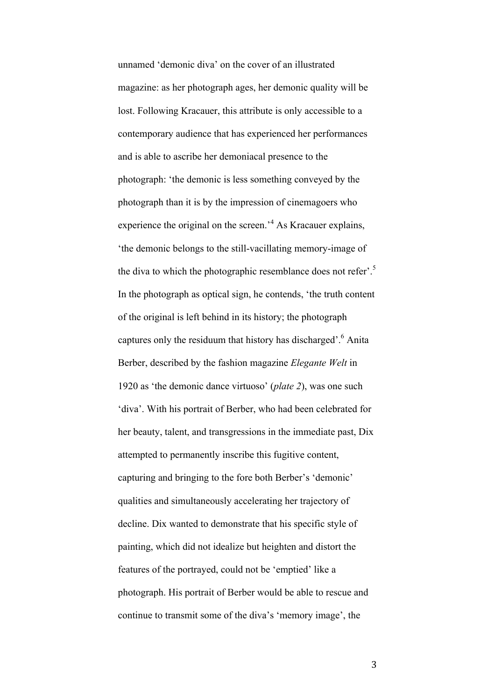unnamed 'demonic diva' on the cover of an illustrated magazine: as her photograph ages, her demonic quality will be lost. Following Kracauer, this attribute is only accessible to a contemporary audience that has experienced her performances and is able to ascribe her demoniacal presence to the photograph: 'the demonic is less something conveyed by the photograph than it is by the impression of cinemagoers who experience the original on the screen.'<sup>4</sup> As Kracauer explains, 'the demonic belongs to the still-vacillating memory-image of the diva to which the photographic resemblance does not refer'.<sup>5</sup> In the photograph as optical sign, he contends, 'the truth content of the original is left behind in its history; the photograph captures only the residuum that history has discharged'.6 Anita Berber, described by the fashion magazine *Elegante Welt* in 1920 as 'the demonic dance virtuoso' (*plate 2*), was one such 'diva'. With his portrait of Berber, who had been celebrated for her beauty, talent, and transgressions in the immediate past, Dix attempted to permanently inscribe this fugitive content, capturing and bringing to the fore both Berber's 'demonic' qualities and simultaneously accelerating her trajectory of decline. Dix wanted to demonstrate that his specific style of painting, which did not idealize but heighten and distort the features of the portrayed, could not be 'emptied' like a photograph. His portrait of Berber would be able to rescue and continue to transmit some of the diva's 'memory image', the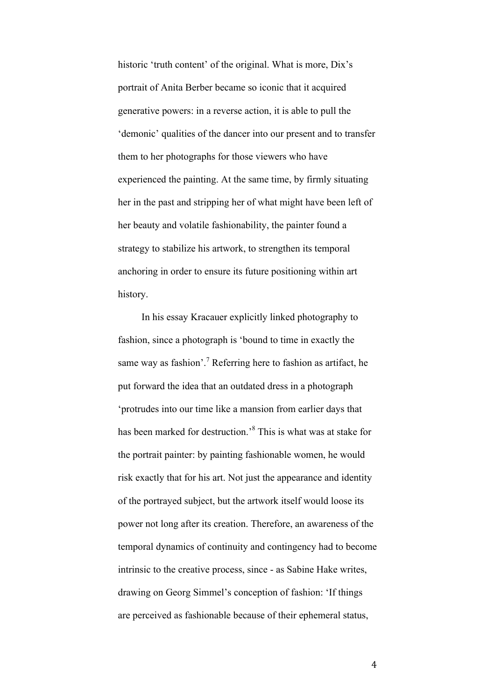historic 'truth content' of the original. What is more, Dix's portrait of Anita Berber became so iconic that it acquired generative powers: in a reverse action, it is able to pull the 'demonic' qualities of the dancer into our present and to transfer them to her photographs for those viewers who have experienced the painting. At the same time, by firmly situating her in the past and stripping her of what might have been left of her beauty and volatile fashionability, the painter found a strategy to stabilize his artwork, to strengthen its temporal anchoring in order to ensure its future positioning within art history.

In his essay Kracauer explicitly linked photography to fashion, since a photograph is 'bound to time in exactly the same way as fashion'.<sup>7</sup> Referring here to fashion as artifact, he put forward the idea that an outdated dress in a photograph 'protrudes into our time like a mansion from earlier days that has been marked for destruction.'<sup>8</sup> This is what was at stake for the portrait painter: by painting fashionable women, he would risk exactly that for his art. Not just the appearance and identity of the portrayed subject, but the artwork itself would loose its power not long after its creation. Therefore, an awareness of the temporal dynamics of continuity and contingency had to become intrinsic to the creative process, since - as Sabine Hake writes, drawing on Georg Simmel's conception of fashion: 'If things are perceived as fashionable because of their ephemeral status,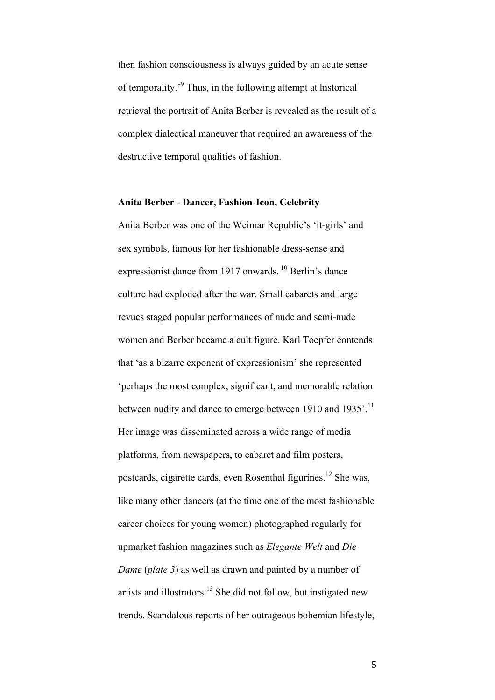then fashion consciousness is always guided by an acute sense of temporality.'<sup>9</sup> Thus, in the following attempt at historical retrieval the portrait of Anita Berber is revealed as the result of a complex dialectical maneuver that required an awareness of the destructive temporal qualities of fashion.

#### **Anita Berber - Dancer, Fashion-Icon, Celebrity**

Anita Berber was one of the Weimar Republic's 'it-girls' and sex symbols, famous for her fashionable dress-sense and expressionist dance from 1917 onwards.<sup>10</sup> Berlin's dance culture had exploded after the war. Small cabarets and large revues staged popular performances of nude and semi-nude women and Berber became a cult figure. Karl Toepfer contends that 'as a bizarre exponent of expressionism' she represented 'perhaps the most complex, significant, and memorable relation between nudity and dance to emerge between 1910 and 1935'.<sup>11</sup> Her image was disseminated across a wide range of media platforms, from newspapers, to cabaret and film posters, postcards, cigarette cards, even Rosenthal figurines. <sup>12</sup> She was, like many other dancers (at the time one of the most fashionable career choices for young women) photographed regularly for upmarket fashion magazines such as *Elegante Welt* and *Die Dame* (*plate 3*) as well as drawn and painted by a number of artists and illustrators.<sup>13</sup> She did not follow, but instigated new trends. Scandalous reports of her outrageous bohemian lifestyle,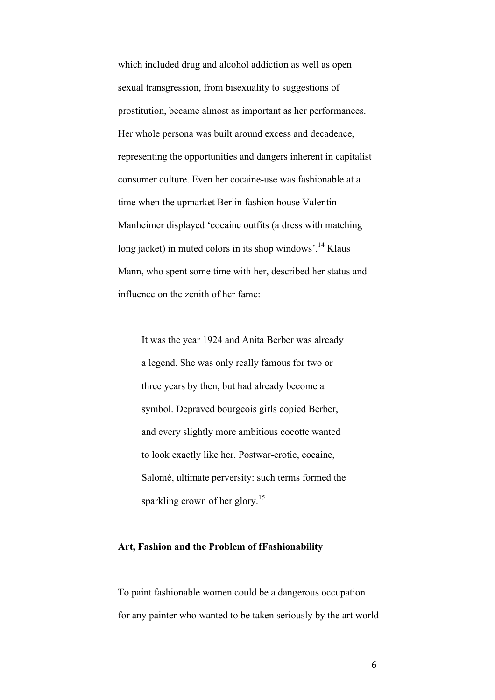which included drug and alcohol addiction as well as open sexual transgression, from bisexuality to suggestions of prostitution, became almost as important as her performances. Her whole persona was built around excess and decadence, representing the opportunities and dangers inherent in capitalist consumer culture. Even her cocaine-use was fashionable at a time when the upmarket Berlin fashion house Valentin Manheimer displayed 'cocaine outfits (a dress with matching long jacket) in muted colors in its shop windows'.<sup>14</sup> Klaus Mann, who spent some time with her, described her status and influence on the zenith of her fame:

It was the year 1924 and Anita Berber was already a legend. She was only really famous for two or three years by then, but had already become a symbol. Depraved bourgeois girls copied Berber, and every slightly more ambitious cocotte wanted to look exactly like her. Postwar-erotic, cocaine, Salomé, ultimate perversity: such terms formed the sparkling crown of her glory.<sup>15</sup>

#### **Art, Fashion and the Problem of fFashionability**

To paint fashionable women could be a dangerous occupation for any painter who wanted to be taken seriously by the art world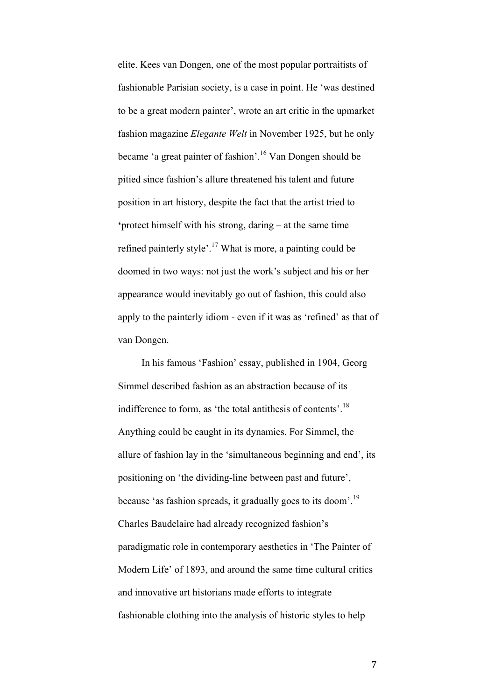elite. Kees van Dongen, one of the most popular portraitists of fashionable Parisian society, is a case in point. He 'was destined to be a great modern painter', wrote an art critic in the upmarket fashion magazine *Elegante Welt* in November 1925, but he only became 'a great painter of fashion'. <sup>16</sup> Van Dongen should be pitied since fashion's allure threatened his talent and future position in art history, despite the fact that the artist tried to **'**protect himself with his strong, daring – at the same time refined painterly style'. <sup>17</sup> What is more, a painting could be doomed in two ways: not just the work's subject and his or her appearance would inevitably go out of fashion, this could also apply to the painterly idiom - even if it was as 'refined' as that of van Dongen.

In his famous 'Fashion' essay, published in 1904, Georg Simmel described fashion as an abstraction because of its indifference to form, as 'the total antithesis of contents'.<sup>18</sup> Anything could be caught in its dynamics. For Simmel, the allure of fashion lay in the 'simultaneous beginning and end', its positioning on 'the dividing-line between past and future', because 'as fashion spreads, it gradually goes to its doom'.<sup>19</sup> Charles Baudelaire had already recognized fashion's paradigmatic role in contemporary aesthetics in 'The Painter of Modern Life' of 1893, and around the same time cultural critics and innovative art historians made efforts to integrate fashionable clothing into the analysis of historic styles to help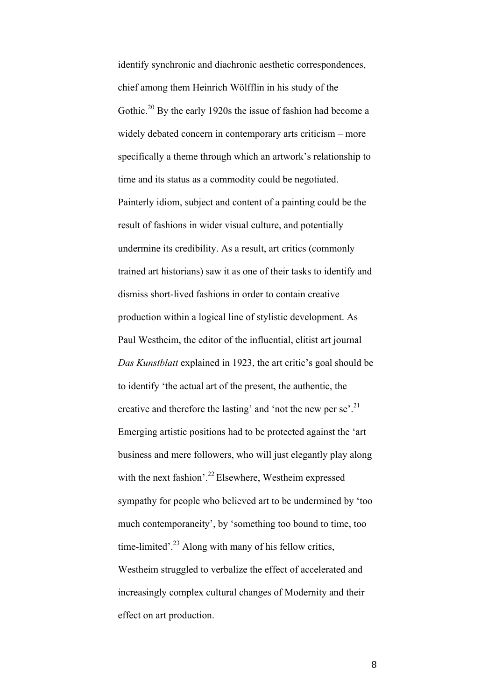identify synchronic and diachronic aesthetic correspondences, chief among them Heinrich Wölfflin in his study of the Gothic.<sup>20</sup> By the early 1920s the issue of fashion had become a widely debated concern in contemporary arts criticism – more specifically a theme through which an artwork's relationship to time and its status as a commodity could be negotiated. Painterly idiom, subject and content of a painting could be the result of fashions in wider visual culture, and potentially undermine its credibility. As a result, art critics (commonly trained art historians) saw it as one of their tasks to identify and dismiss short-lived fashions in order to contain creative production within a logical line of stylistic development. As Paul Westheim, the editor of the influential, elitist art journal *Das Kunstblatt* explained in 1923, the art critic's goal should be to identify 'the actual art of the present, the authentic, the creative and therefore the lasting' and 'not the new per se'.<sup>21</sup> Emerging artistic positions had to be protected against the 'art business and mere followers, who will just elegantly play along with the next fashion'.<sup>22</sup> Elsewhere, Westheim expressed sympathy for people who believed art to be undermined by 'too much contemporaneity', by 'something too bound to time, too time-limited'.<sup>23</sup> Along with many of his fellow critics, Westheim struggled to verbalize the effect of accelerated and increasingly complex cultural changes of Modernity and their effect on art production.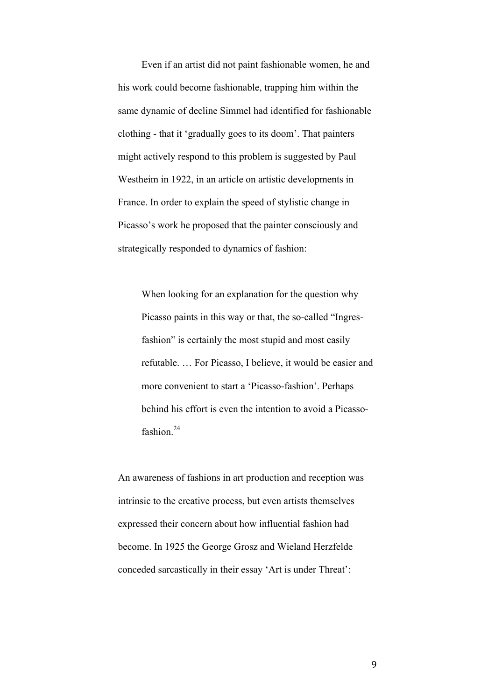Even if an artist did not paint fashionable women, he and his work could become fashionable, trapping him within the same dynamic of decline Simmel had identified for fashionable clothing - that it 'gradually goes to its doom'. That painters might actively respond to this problem is suggested by Paul Westheim in 1922, in an article on artistic developments in France. In order to explain the speed of stylistic change in Picasso's work he proposed that the painter consciously and strategically responded to dynamics of fashion:

When looking for an explanation for the question why Picasso paints in this way or that, the so-called "Ingresfashion" is certainly the most stupid and most easily refutable. … For Picasso, I believe, it would be easier and more convenient to start a 'Picasso-fashion'. Perhaps behind his effort is even the intention to avoid a Picassofashion. 24

An awareness of fashions in art production and reception was intrinsic to the creative process, but even artists themselves expressed their concern about how influential fashion had become. In 1925 the George Grosz and Wieland Herzfelde conceded sarcastically in their essay 'Art is under Threat':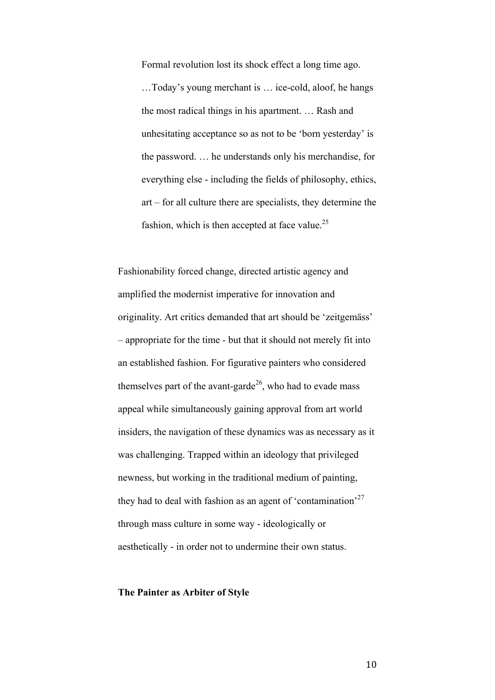Formal revolution lost its shock effect a long time ago. …Today's young merchant is … ice-cold, aloof, he hangs the most radical things in his apartment. … Rash and unhesitating acceptance so as not to be 'born yesterday' is the password. … he understands only his merchandise, for everything else - including the fields of philosophy, ethics, art – for all culture there are specialists, they determine the fashion, which is then accepted at face value.<sup>25</sup>

Fashionability forced change, directed artistic agency and amplified the modernist imperative for innovation and originality. Art critics demanded that art should be 'zeitgemäss' – appropriate for the time *-* but that it should not merely fit into an established fashion. For figurative painters who considered themselves part of the avant-garde<sup>26</sup>, who had to evade mass appeal while simultaneously gaining approval from art world insiders, the navigation of these dynamics was as necessary as it was challenging. Trapped within an ideology that privileged newness, but working in the traditional medium of painting, they had to deal with fashion as an agent of 'contamination'<sup>27</sup> through mass culture in some way - ideologically or aesthetically - in order not to undermine their own status.

### **The Painter as Arbiter of Style**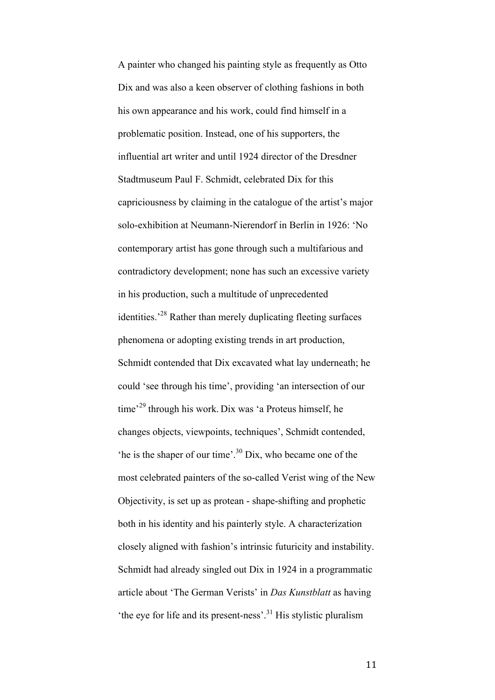A painter who changed his painting style as frequently as Otto Dix and was also a keen observer of clothing fashions in both his own appearance and his work, could find himself in a problematic position. Instead, one of his supporters, the influential art writer and until 1924 director of the Dresdner Stadtmuseum Paul F. Schmidt, celebrated Dix for this capriciousness by claiming in the catalogue of the artist's major solo-exhibition at Neumann-Nierendorf in Berlin in 1926: 'No contemporary artist has gone through such a multifarious and contradictory development; none has such an excessive variety in his production, such a multitude of unprecedented identities.'28 Rather than merely duplicating fleeting surfaces phenomena or adopting existing trends in art production, Schmidt contended that Dix excavated what lay underneath; he could 'see through his time', providing 'an intersection of our time'<sup>29</sup> through his work. Dix was 'a Proteus himself, he changes objects, viewpoints, techniques', Schmidt contended, 'he is the shaper of our time'. <sup>30</sup> Dix, who became one of the most celebrated painters of the so-called Verist wing of the New Objectivity, is set up as protean - shape-shifting and prophetic both in his identity and his painterly style. A characterization closely aligned with fashion's intrinsic futuricity and instability. Schmidt had already singled out Dix in 1924 in a programmatic article about 'The German Verists' in *Das Kunstblatt* as having 'the eye for life and its present-ness'. <sup>31</sup> His stylistic pluralism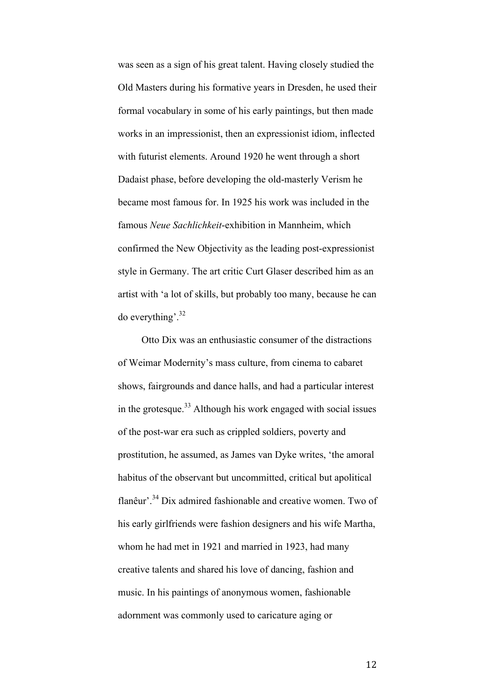was seen as a sign of his great talent. Having closely studied the Old Masters during his formative years in Dresden, he used their formal vocabulary in some of his early paintings, but then made works in an impressionist, then an expressionist idiom, inflected with futurist elements. Around 1920 he went through a short Dadaist phase, before developing the old-masterly Verism he became most famous for. In 1925 his work was included in the famous *Neue Sachlichkeit*-exhibition in Mannheim, which confirmed the New Objectivity as the leading post-expressionist style in Germany. The art critic Curt Glaser described him as an artist with 'a lot of skills, but probably too many, because he can do everything'. 32

Otto Dix was an enthusiastic consumer of the distractions of Weimar Modernity's mass culture, from cinema to cabaret shows, fairgrounds and dance halls, and had a particular interest in the grotesque. <sup>33</sup> Although his work engaged with social issues of the post-war era such as crippled soldiers, poverty and prostitution, he assumed, as James van Dyke writes, 'the amoral habitus of the observant but uncommitted, critical but apolitical flanêur<sup>'. 34</sup> Dix admired fashionable and creative women. Two of his early girlfriends were fashion designers and his wife Martha, whom he had met in 1921 and married in 1923, had many creative talents and shared his love of dancing, fashion and music. In his paintings of anonymous women, fashionable adornment was commonly used to caricature aging or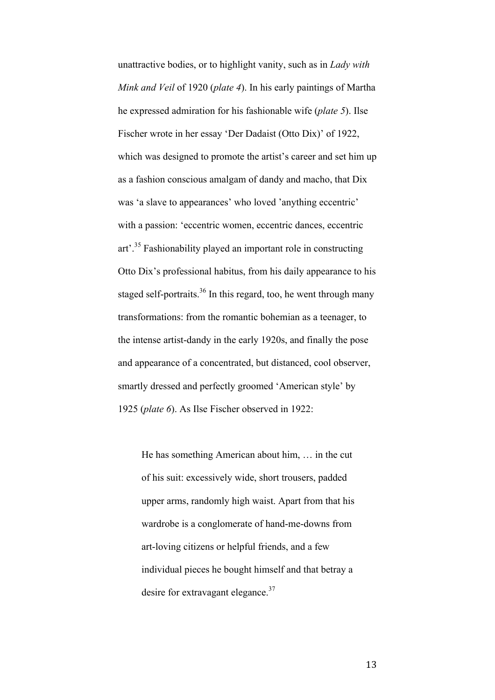unattractive bodies, or to highlight vanity, such as in *Lady with Mink and Veil* of 1920 (*plate 4*). In his early paintings of Martha he expressed admiration for his fashionable wife (*plate 5*). Ilse Fischer wrote in her essay 'Der Dadaist (Otto Dix)' of 1922, which was designed to promote the artist's career and set him up as a fashion conscious amalgam of dandy and macho, that Dix was 'a slave to appearances' who loved 'anything eccentric' with a passion: 'eccentric women, eccentric dances, eccentric art'.<sup>35</sup> Fashionability played an important role in constructing Otto Dix's professional habitus, from his daily appearance to his staged self-portraits.<sup>36</sup> In this regard, too, he went through many transformations: from the romantic bohemian as a teenager, to the intense artist-dandy in the early 1920s, and finally the pose and appearance of a concentrated, but distanced, cool observer, smartly dressed and perfectly groomed 'American style' by 1925 (*plate 6*). As Ilse Fischer observed in 1922:

He has something American about him, … in the cut of his suit: excessively wide, short trousers, padded upper arms, randomly high waist. Apart from that his wardrobe is a conglomerate of hand-me-downs from art-loving citizens or helpful friends, and a few individual pieces he bought himself and that betray a desire for extravagant elegance.<sup>37</sup>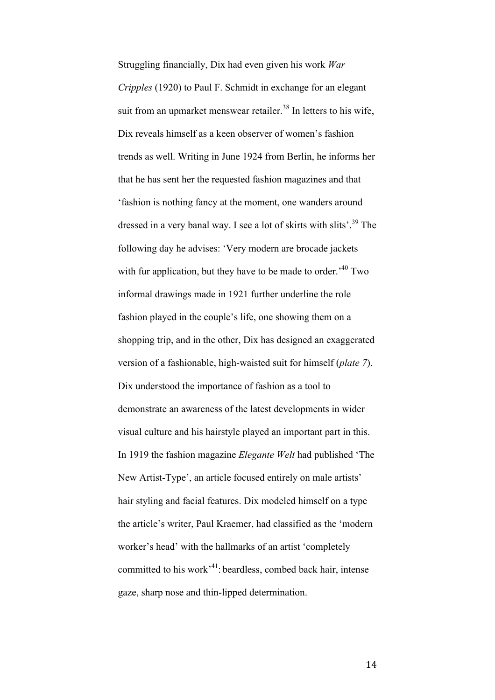Struggling financially, Dix had even given his work *War Cripples* (1920) to Paul F. Schmidt in exchange for an elegant suit from an upmarket menswear retailer.<sup>38</sup> In letters to his wife, Dix reveals himself as a keen observer of women's fashion trends as well. Writing in June 1924 from Berlin, he informs her that he has sent her the requested fashion magazines and that 'fashion is nothing fancy at the moment, one wanders around dressed in a very banal way. I see a lot of skirts with slits'.<sup>39</sup> The following day he advises: 'Very modern are brocade jackets with fur application, but they have to be made to order.<sup> $40$ </sup> Two informal drawings made in 1921 further underline the role fashion played in the couple's life, one showing them on a shopping trip, and in the other, Dix has designed an exaggerated version of a fashionable, high-waisted suit for himself (*plate 7*). Dix understood the importance of fashion as a tool to demonstrate an awareness of the latest developments in wider visual culture and his hairstyle played an important part in this. In 1919 the fashion magazine *Elegante Welt* had published 'The New Artist-Type', an article focused entirely on male artists' hair styling and facial features. Dix modeled himself on a type the article's writer, Paul Kraemer, had classified as the 'modern worker's head' with the hallmarks of an artist 'completely committed to his work'41: beardless, combed back hair, intense gaze, sharp nose and thin-lipped determination.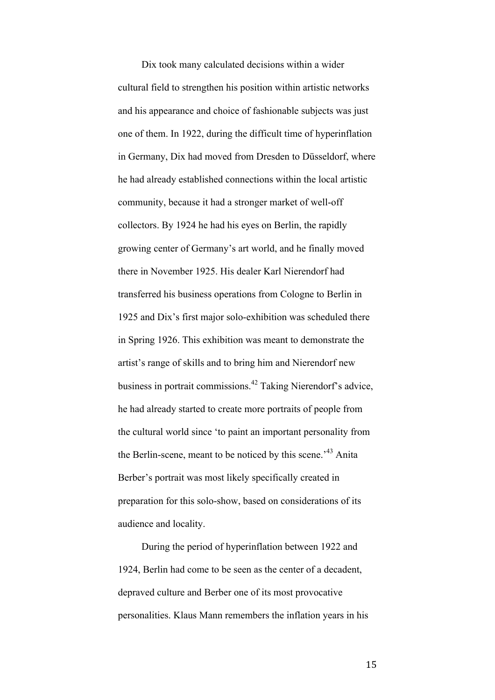Dix took many calculated decisions within a wider cultural field to strengthen his position within artistic networks and his appearance and choice of fashionable subjects was just one of them. In 1922, during the difficult time of hyperinflation in Germany, Dix had moved from Dresden to Düsseldorf, where he had already established connections within the local artistic community, because it had a stronger market of well-off collectors. By 1924 he had his eyes on Berlin, the rapidly growing center of Germany's art world, and he finally moved there in November 1925. His dealer Karl Nierendorf had transferred his business operations from Cologne to Berlin in 1925 and Dix's first major solo-exhibition was scheduled there in Spring 1926. This exhibition was meant to demonstrate the artist's range of skills and to bring him and Nierendorf new business in portrait commissions.<sup>42</sup> Taking Nierendorf's advice, he had already started to create more portraits of people from the cultural world since 'to paint an important personality from the Berlin-scene, meant to be noticed by this scene.<sup>43</sup> Anita Berber's portrait was most likely specifically created in preparation for this solo-show, based on considerations of its audience and locality.

During the period of hyperinflation between 1922 and 1924, Berlin had come to be seen as the center of a decadent, depraved culture and Berber one of its most provocative personalities. Klaus Mann remembers the inflation years in his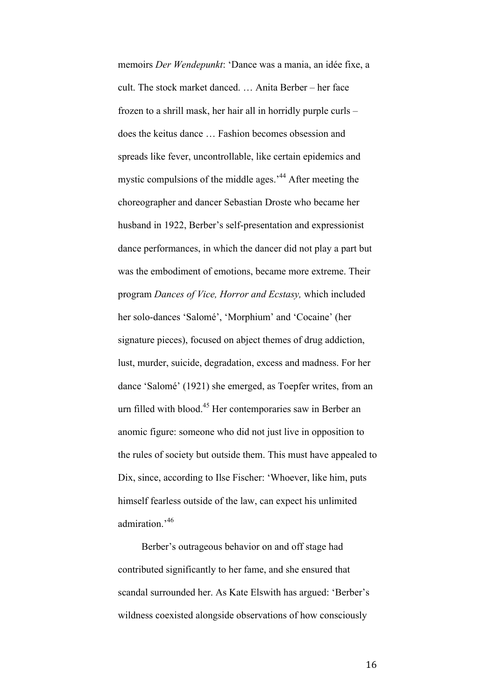memoirs *Der Wendepunkt*: 'Dance was a mania, an idée fixe, a cult. The stock market danced. … Anita Berber – her face frozen to a shrill mask, her hair all in horridly purple curls – does the keitus dance … Fashion becomes obsession and spreads like fever, uncontrollable, like certain epidemics and mystic compulsions of the middle ages.<sup>144</sup> After meeting the choreographer and dancer Sebastian Droste who became her husband in 1922, Berber's self-presentation and expressionist dance performances, in which the dancer did not play a part but was the embodiment of emotions, became more extreme. Their program *Dances of Vice, Horror and Ecstasy,* which included her solo-dances 'Salomé', 'Morphium' and 'Cocaine' (her signature pieces), focused on abject themes of drug addiction, lust, murder, suicide, degradation, excess and madness. For her dance 'Salomé' (1921) she emerged, as Toepfer writes, from an urn filled with blood.<sup>45</sup> Her contemporaries saw in Berber an anomic figure: someone who did not just live in opposition to the rules of society but outside them. This must have appealed to Dix, since, according to Ilse Fischer: 'Whoever, like him, puts himself fearless outside of the law, can expect his unlimited admiration.'<sup>46</sup>

Berber's outrageous behavior on and off stage had contributed significantly to her fame, and she ensured that scandal surrounded her. As Kate Elswith has argued: 'Berber's wildness coexisted alongside observations of how consciously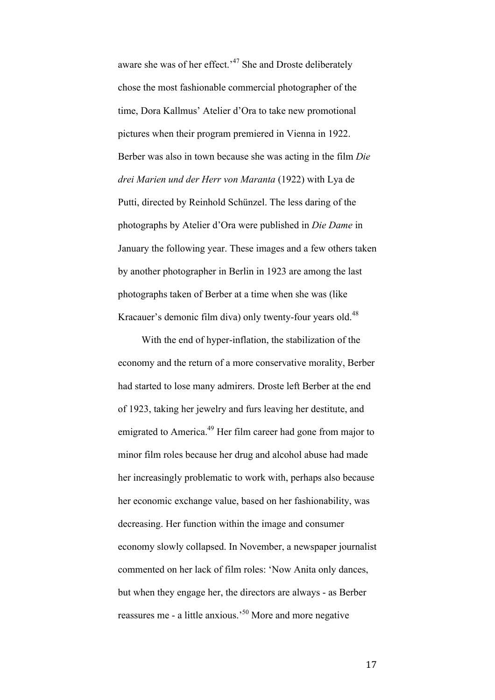aware she was of her effect.<sup>47</sup> She and Droste deliberately chose the most fashionable commercial photographer of the time, Dora Kallmus' Atelier d'Ora to take new promotional pictures when their program premiered in Vienna in 1922. Berber was also in town because she was acting in the film *Die drei Marien und der Herr von Maranta* (1922) with Lya de Putti, directed by Reinhold Schünzel. The less daring of the photographs by Atelier d'Ora were published in *Die Dame* in January the following year. These images and a few others taken by another photographer in Berlin in 1923 are among the last photographs taken of Berber at a time when she was (like Kracauer's demonic film diva) only twenty-four years old.<sup>48</sup>

With the end of hyper-inflation, the stabilization of the economy and the return of a more conservative morality, Berber had started to lose many admirers. Droste left Berber at the end of 1923, taking her jewelry and furs leaving her destitute, and emigrated to America.<sup>49</sup> Her film career had gone from major to minor film roles because her drug and alcohol abuse had made her increasingly problematic to work with, perhaps also because her economic exchange value, based on her fashionability, was decreasing. Her function within the image and consumer economy slowly collapsed. In November, a newspaper journalist commented on her lack of film roles: 'Now Anita only dances, but when they engage her, the directors are always - as Berber reassures me - a little anxious.'50 More and more negative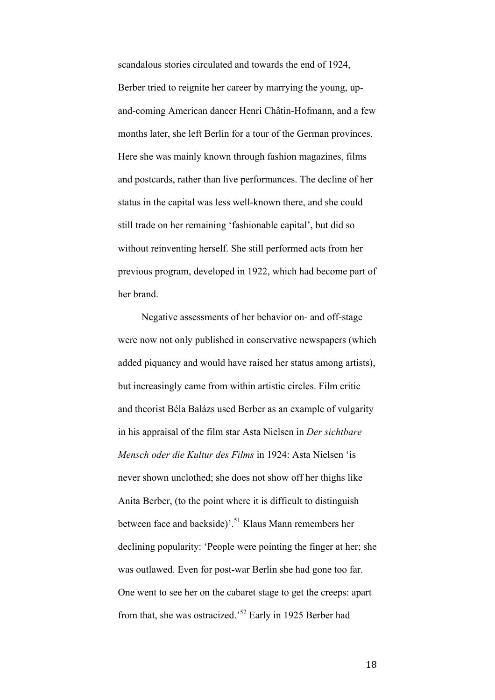scandalous stories circulated and towards the end of 1924, Berber tried to reignite her career by marrying the young, upand-coming American dancer Henri Châtin-Hofmann, and a few months later, she left Berlin for a tour of the German provinces. Here she was mainly known through fashion magazines, films and postcards, rather than live performances. The decline of her status in the capital was less well-known there, and she could still trade on her remaining 'fashionable capital', but did so without reinventing herself. She still performed acts from her previous program, developed in 1922, which had become part of her brand.

Negative assessments of her behavior on- and off-stage were now not only published in conservative newspapers (which added piquancy and would have raised her status among artists), but increasingly came from within artistic circles. Film critic and theorist Béla Balázs used Berber as an example of vulgarity in his appraisal of the film star Asta Nielsen in *Der sichtbare Mensch oder die Kultur des Films* in 1924: Asta Nielsen 'is never shown unclothed; she does not show off her thighs like Anita Berber, (to the point where it is difficult to distinguish between face and backside)<sup>'. 51</sup> Klaus Mann remembers her declining popularity: 'People were pointing the finger at her; she was outlawed. Even for post-war Berlin she had gone too far. One went to see her on the cabaret stage to get the creeps: apart from that, she was ostracized.'<sup>52</sup> Early in 1925 Berber had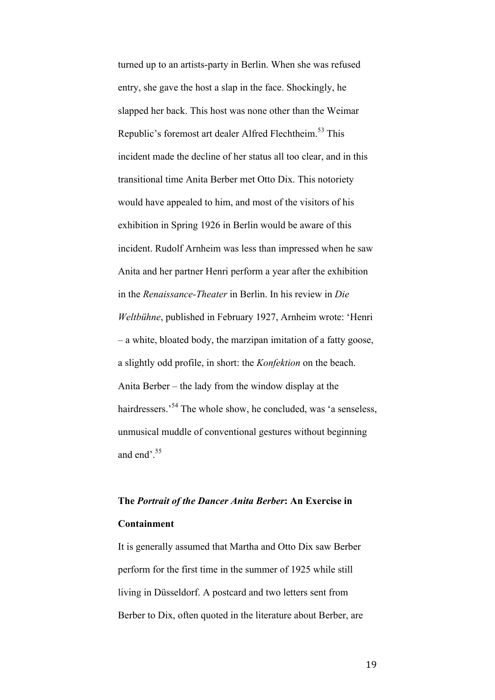turned up to an artists-party in Berlin. When she was refused entry, she gave the host a slap in the face. Shockingly, he slapped her back. This host was none other than the Weimar Republic's foremost art dealer Alfred Flechtheim.<sup>53</sup> This incident made the decline of her status all too clear, and in this transitional time Anita Berber met Otto Dix. This notoriety would have appealed to him, and most of the visitors of his exhibition in Spring 1926 in Berlin would be aware of this incident. Rudolf Arnheim was less than impressed when he saw Anita and her partner Henri perform a year after the exhibition in the *Renaissance-Theater* in Berlin. In his review in *Die Weltbühne*, published in February 1927, Arnheim wrote: 'Henri – a white, bloated body, the marzipan imitation of a fatty goose, a slightly odd profile, in short: the *Konfektion* on the beach. Anita Berber – the lady from the window display at the hairdressers.<sup>54</sup> The whole show, he concluded, was 'a senseless, unmusical muddle of conventional gestures without beginning and end'.<sup>55</sup>

### **The** *Portrait of the Dancer Anita Berber***: An Exercise in Containment**

It is generally assumed that Martha and Otto Dix saw Berber perform for the first time in the summer of 1925 while still living in Düsseldorf. A postcard and two letters sent from Berber to Dix, often quoted in the literature about Berber, are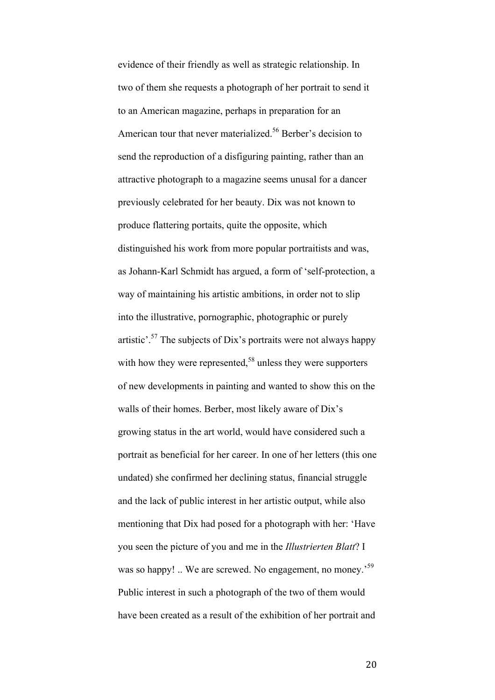evidence of their friendly as well as strategic relationship. In two of them she requests a photograph of her portrait to send it to an American magazine, perhaps in preparation for an American tour that never materialized.<sup>56</sup> Berber's decision to send the reproduction of a disfiguring painting, rather than an attractive photograph to a magazine seems unusal for a dancer previously celebrated for her beauty. Dix was not known to produce flattering portaits, quite the opposite, which distinguished his work from more popular portraitists and was, as Johann-Karl Schmidt has argued, a form of 'self-protection, a way of maintaining his artistic ambitions, in order not to slip into the illustrative, pornographic, photographic or purely artistic'.<sup>57</sup> The subjects of Dix's portraits were not always happy with how they were represented,  $58$  unless they were supporters of new developments in painting and wanted to show this on the walls of their homes. Berber, most likely aware of Dix's growing status in the art world, would have considered such a portrait as beneficial for her career. In one of her letters (this one undated) she confirmed her declining status, financial struggle and the lack of public interest in her artistic output, while also mentioning that Dix had posed for a photograph with her: 'Have you seen the picture of you and me in the *Illustrierten Blatt*? I was so happy! .. We are screwed. No engagement, no money.<sup>59</sup> Public interest in such a photograph of the two of them would have been created as a result of the exhibition of her portrait and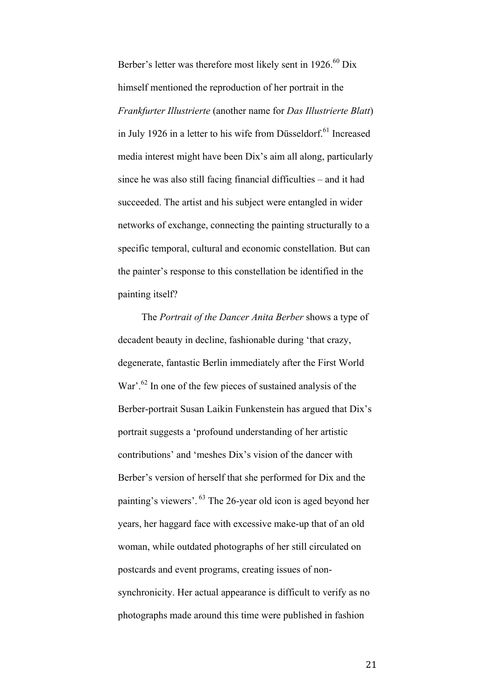Berber's letter was therefore most likely sent in 1926.<sup>60</sup> Dix himself mentioned the reproduction of her portrait in the *Frankfurter Illustrierte* (another name for *Das Illustrierte Blatt*) in July 1926 in a letter to his wife from Düsseldorf.<sup>61</sup> Increased media interest might have been Dix's aim all along, particularly since he was also still facing financial difficulties – and it had succeeded. The artist and his subject were entangled in wider networks of exchange, connecting the painting structurally to a specific temporal, cultural and economic constellation. But can the painter's response to this constellation be identified in the painting itself?

The *Portrait of the Dancer Anita Berber* shows a type of decadent beauty in decline, fashionable during 'that crazy, degenerate, fantastic Berlin immediately after the First World War'.<sup>62</sup> In one of the few pieces of sustained analysis of the Berber-portrait Susan Laikin Funkenstein has argued that Dix's portrait suggests a 'profound understanding of her artistic contributions' and 'meshes Dix's vision of the dancer with Berber's version of herself that she performed for Dix and the painting's viewers'. <sup>63</sup> The 26-year old icon is aged beyond her years, her haggard face with excessive make-up that of an old woman, while outdated photographs of her still circulated on postcards and event programs, creating issues of nonsynchronicity. Her actual appearance is difficult to verify as no photographs made around this time were published in fashion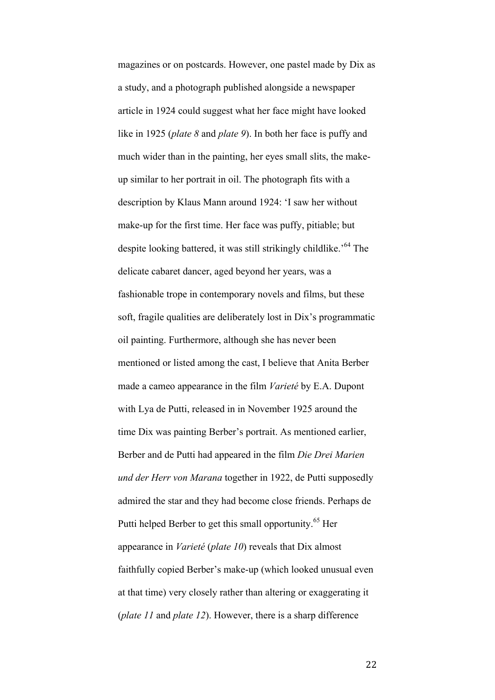magazines or on postcards. However, one pastel made by Dix as a study, and a photograph published alongside a newspaper article in 1924 could suggest what her face might have looked like in 1925 (*plate 8* and *plate 9*). In both her face is puffy and much wider than in the painting, her eyes small slits, the makeup similar to her portrait in oil. The photograph fits with a description by Klaus Mann around 1924: 'I saw her without make-up for the first time. Her face was puffy, pitiable; but despite looking battered, it was still strikingly childlike.<sup>'64</sup> The delicate cabaret dancer, aged beyond her years, was a fashionable trope in contemporary novels and films, but these soft, fragile qualities are deliberately lost in Dix's programmatic oil painting. Furthermore, although she has never been mentioned or listed among the cast, I believe that Anita Berber made a cameo appearance in the film *Varieté* by E.A. Dupont with Lya de Putti, released in in November 1925 around the time Dix was painting Berber's portrait. As mentioned earlier, Berber and de Putti had appeared in the film *Die Drei Marien und der Herr von Marana* together in 1922, de Putti supposedly admired the star and they had become close friends. Perhaps de Putti helped Berber to get this small opportunity.<sup>65</sup> Her appearance in *Varieté* (*plate 10*) reveals that Dix almost faithfully copied Berber's make-up (which looked unusual even at that time) very closely rather than altering or exaggerating it (*plate 11* and *plate 12*). However, there is a sharp difference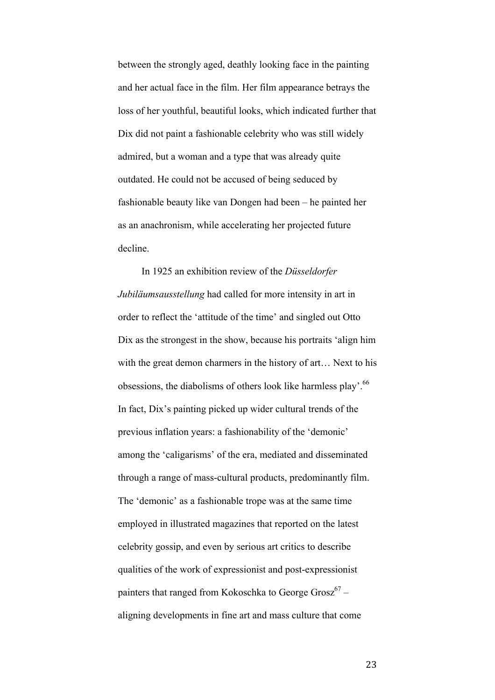between the strongly aged, deathly looking face in the painting and her actual face in the film. Her film appearance betrays the loss of her youthful, beautiful looks, which indicated further that Dix did not paint a fashionable celebrity who was still widely admired, but a woman and a type that was already quite outdated. He could not be accused of being seduced by fashionable beauty like van Dongen had been – he painted her as an anachronism, while accelerating her projected future decline.

In 1925 an exhibition review of the *Düsseldorfer Jubiläumsausstellung* had called for more intensity in art in order to reflect the 'attitude of the time' and singled out Otto Dix as the strongest in the show, because his portraits 'align him with the great demon charmers in the history of art… Next to his obsessions, the diabolisms of others look like harmless play'.<sup>66</sup> In fact, Dix's painting picked up wider cultural trends of the previous inflation years: a fashionability of the 'demonic' among the 'caligarisms' of the era, mediated and disseminated through a range of mass-cultural products, predominantly film. The 'demonic' as a fashionable trope was at the same time employed in illustrated magazines that reported on the latest celebrity gossip, and even by serious art critics to describe qualities of the work of expressionist and post-expressionist painters that ranged from Kokoschka to George Grosz $67$ aligning developments in fine art and mass culture that come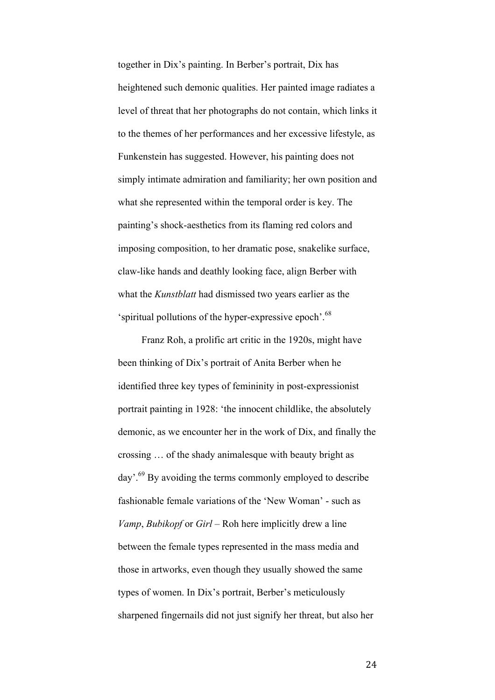together in Dix's painting. In Berber's portrait, Dix has heightened such demonic qualities. Her painted image radiates a level of threat that her photographs do not contain, which links it to the themes of her performances and her excessive lifestyle, as Funkenstein has suggested. However, his painting does not simply intimate admiration and familiarity; her own position and what she represented within the temporal order is key. The painting's shock-aesthetics from its flaming red colors and imposing composition, to her dramatic pose, snakelike surface, claw-like hands and deathly looking face, align Berber with what the *Kunstblatt* had dismissed two years earlier as the 'spiritual pollutions of the hyper-expressive epoch'.<sup>68</sup>

Franz Roh, a prolific art critic in the 1920s, might have been thinking of Dix's portrait of Anita Berber when he identified three key types of femininity in post-expressionist portrait painting in 1928: 'the innocent childlike, the absolutely demonic, as we encounter her in the work of Dix, and finally the crossing … of the shady animalesque with beauty bright as day'.<sup>69</sup> By avoiding the terms commonly employed to describe fashionable female variations of the 'New Woman' - such as *Vamp*, *Bubikopf* or *Girl* – Roh here implicitly drew a line between the female types represented in the mass media and those in artworks, even though they usually showed the same types of women. In Dix's portrait, Berber's meticulously sharpened fingernails did not just signify her threat, but also her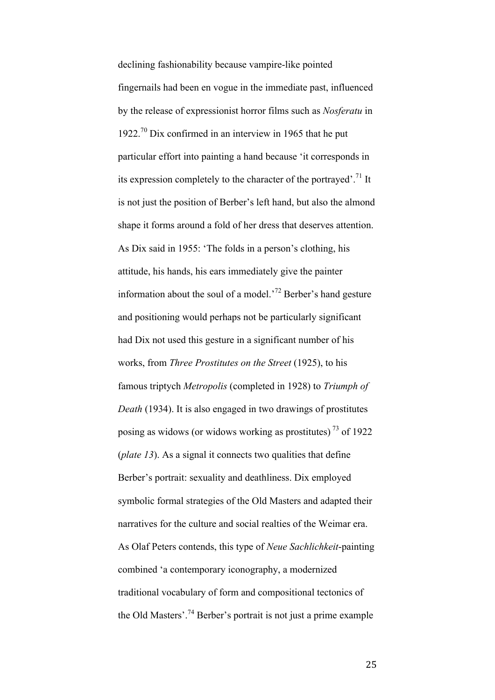declining fashionability because vampire-like pointed fingernails had been en vogue in the immediate past, influenced by the release of expressionist horror films such as *Nosferatu* in 1922.<sup>70</sup> Dix confirmed in an interview in 1965 that he put particular effort into painting a hand because 'it corresponds in its expression completely to the character of the portrayed'.<sup>71</sup> It is not just the position of Berber's left hand, but also the almond shape it forms around a fold of her dress that deserves attention. As Dix said in 1955: 'The folds in a person's clothing, his attitude, his hands, his ears immediately give the painter information about the soul of a model.<sup>72</sup> Berber's hand gesture and positioning would perhaps not be particularly significant had Dix not used this gesture in a significant number of his works, from *Three Prostitutes on the Street* (1925), to his famous triptych *Metropolis* (completed in 1928) to *Triumph of Death* (1934). It is also engaged in two drawings of prostitutes posing as widows (or widows working as prostitutes) <sup>73</sup> of 1922 (*plate 13*). As a signal it connects two qualities that define Berber's portrait: sexuality and deathliness. Dix employed symbolic formal strategies of the Old Masters and adapted their narratives for the culture and social realties of the Weimar era. As Olaf Peters contends, this type of *Neue Sachlichkeit*-painting combined 'a contemporary iconography, a modernized traditional vocabulary of form and compositional tectonics of the Old Masters'.<sup>74</sup> Berber's portrait is not just a prime example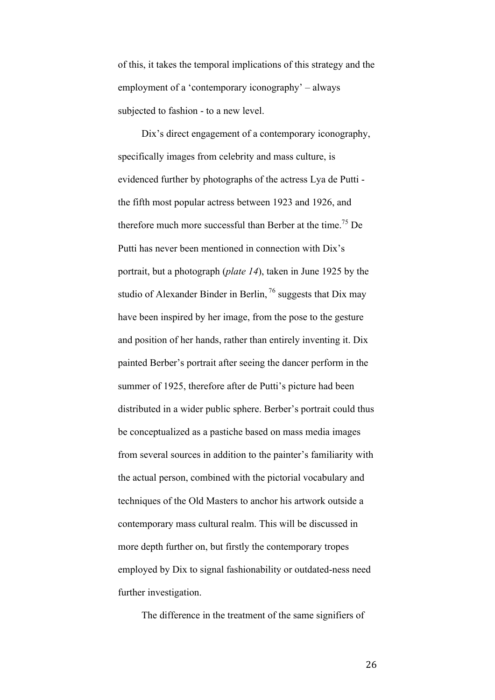of this, it takes the temporal implications of this strategy and the employment of a 'contemporary iconography' – always subjected to fashion - to a new level.

Dix's direct engagement of a contemporary iconography, specifically images from celebrity and mass culture, is evidenced further by photographs of the actress Lya de Putti the fifth most popular actress between 1923 and 1926, and therefore much more successful than Berber at the time. <sup>75</sup> De Putti has never been mentioned in connection with Dix's portrait, but a photograph (*plate 14*), taken in June 1925 by the studio of Alexander Binder in Berlin,  $^{76}$  suggests that Dix may have been inspired by her image, from the pose to the gesture and position of her hands, rather than entirely inventing it. Dix painted Berber's portrait after seeing the dancer perform in the summer of 1925, therefore after de Putti's picture had been distributed in a wider public sphere. Berber's portrait could thus be conceptualized as a pastiche based on mass media images from several sources in addition to the painter's familiarity with the actual person, combined with the pictorial vocabulary and techniques of the Old Masters to anchor his artwork outside a contemporary mass cultural realm. This will be discussed in more depth further on, but firstly the contemporary tropes employed by Dix to signal fashionability or outdated-ness need further investigation.

The difference in the treatment of the same signifiers of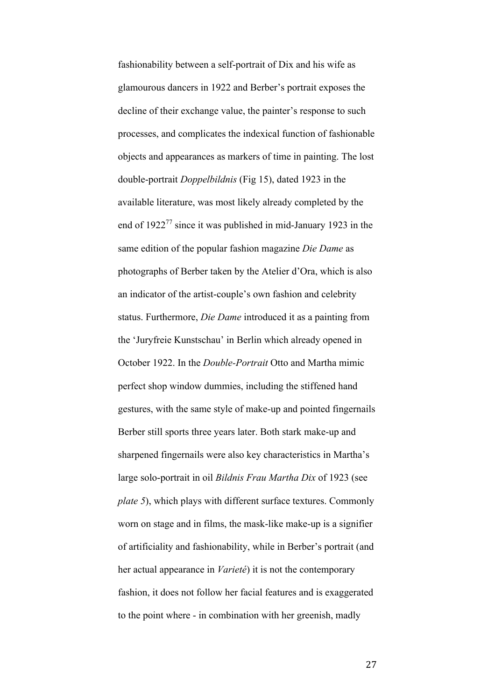fashionability between a self-portrait of Dix and his wife as glamourous dancers in 1922 and Berber's portrait exposes the decline of their exchange value, the painter's response to such processes, and complicates the indexical function of fashionable objects and appearances as markers of time in painting. The lost double-portrait *Doppelbildnis* (Fig 15), dated 1923 in the available literature, was most likely already completed by the end of  $1922^{77}$  since it was published in mid-January 1923 in the same edition of the popular fashion magazine *Die Dame* as photographs of Berber taken by the Atelier d'Ora, which is also an indicator of the artist-couple's own fashion and celebrity status. Furthermore, *Die Dame* introduced it as a painting from the 'Juryfreie Kunstschau' in Berlin which already opened in October 1922. In the *Double-Portrait* Otto and Martha mimic perfect shop window dummies, including the stiffened hand gestures, with the same style of make-up and pointed fingernails Berber still sports three years later. Both stark make-up and sharpened fingernails were also key characteristics in Martha's large solo-portrait in oil *Bildnis Frau Martha Dix* of 1923 (see *plate 5*), which plays with different surface textures. Commonly worn on stage and in films, the mask-like make-up is a signifier of artificiality and fashionability, while in Berber's portrait (and her actual appearance in *Varieté*) it is not the contemporary fashion, it does not follow her facial features and is exaggerated to the point where - in combination with her greenish, madly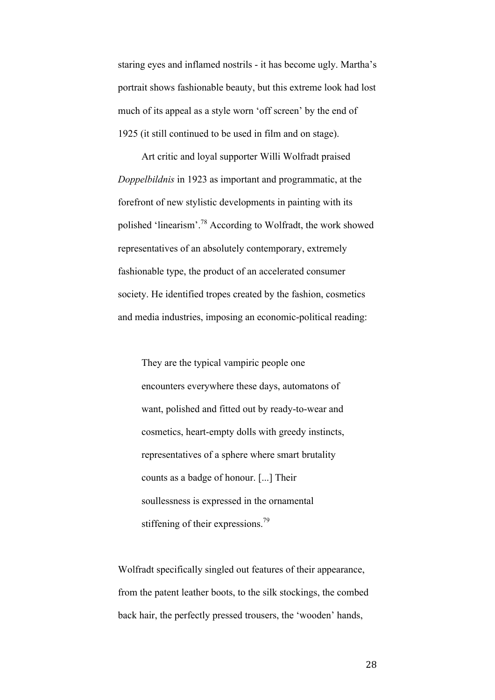staring eyes and inflamed nostrils - it has become ugly. Martha's portrait shows fashionable beauty, but this extreme look had lost much of its appeal as a style worn 'off screen' by the end of 1925 (it still continued to be used in film and on stage).

Art critic and loyal supporter Willi Wolfradt praised *Doppelbildnis* in 1923 as important and programmatic, at the forefront of new stylistic developments in painting with its polished 'linearism'. <sup>78</sup> According to Wolfradt, the work showed representatives of an absolutely contemporary, extremely fashionable type, the product of an accelerated consumer society. He identified tropes created by the fashion, cosmetics and media industries, imposing an economic-political reading:

They are the typical vampiric people one encounters everywhere these days, automatons of want, polished and fitted out by ready-to-wear and cosmetics, heart-empty dolls with greedy instincts, representatives of a sphere where smart brutality counts as a badge of honour. [...] Their soullessness is expressed in the ornamental stiffening of their expressions.<sup>79</sup>

Wolfradt specifically singled out features of their appearance, from the patent leather boots, to the silk stockings, the combed back hair, the perfectly pressed trousers, the 'wooden' hands,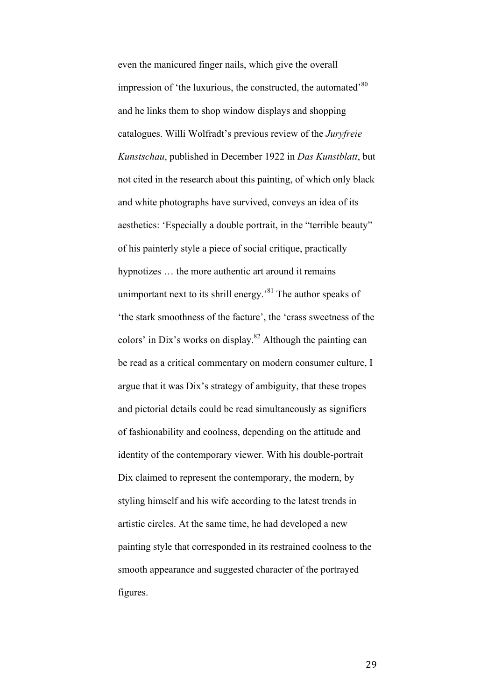even the manicured finger nails, which give the overall impression of 'the luxurious, the constructed, the automated'<sup>80</sup> and he links them to shop window displays and shopping catalogues. Willi Wolfradt's previous review of the *Juryfreie Kunstschau*, published in December 1922 in *Das Kunstblatt*, but not cited in the research about this painting, of which only black and white photographs have survived, conveys an idea of its aesthetics: 'Especially a double portrait, in the "terrible beauty" of his painterly style a piece of social critique, practically hypnotizes … the more authentic art around it remains unimportant next to its shrill energy.<sup>81</sup> The author speaks of 'the stark smoothness of the facture', the 'crass sweetness of the colors' in Dix's works on display. $82$  Although the painting can be read as a critical commentary on modern consumer culture, I argue that it was Dix's strategy of ambiguity, that these tropes and pictorial details could be read simultaneously as signifiers of fashionability and coolness, depending on the attitude and identity of the contemporary viewer. With his double-portrait Dix claimed to represent the contemporary, the modern, by styling himself and his wife according to the latest trends in artistic circles. At the same time, he had developed a new painting style that corresponded in its restrained coolness to the smooth appearance and suggested character of the portrayed figures.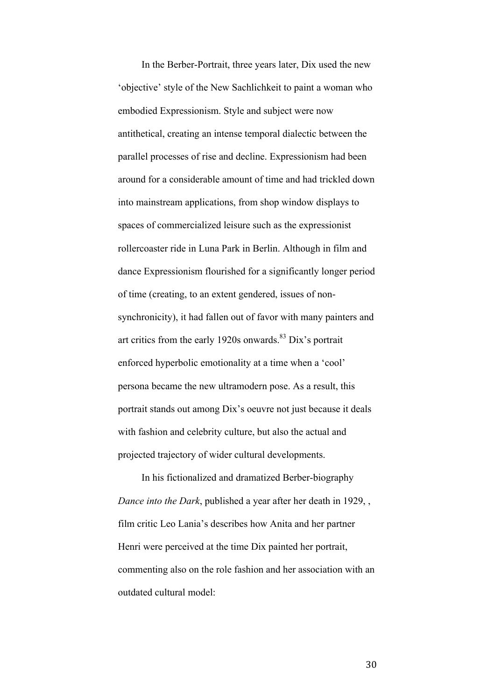In the Berber-Portrait, three years later, Dix used the new 'objective' style of the New Sachlichkeit to paint a woman who embodied Expressionism. Style and subject were now antithetical, creating an intense temporal dialectic between the parallel processes of rise and decline. Expressionism had been around for a considerable amount of time and had trickled down into mainstream applications, from shop window displays to spaces of commercialized leisure such as the expressionist rollercoaster ride in Luna Park in Berlin. Although in film and dance Expressionism flourished for a significantly longer period of time (creating, to an extent gendered, issues of nonsynchronicity), it had fallen out of favor with many painters and art critics from the early 1920s onwards.<sup>83</sup> Dix's portrait enforced hyperbolic emotionality at a time when a 'cool' persona became the new ultramodern pose. As a result, this portrait stands out among Dix's oeuvre not just because it deals with fashion and celebrity culture, but also the actual and projected trajectory of wider cultural developments.

In his fictionalized and dramatized Berber-biography *Dance into the Dark*, published a year after her death in 1929, , film critic Leo Lania's describes how Anita and her partner Henri were perceived at the time Dix painted her portrait, commenting also on the role fashion and her association with an outdated cultural model: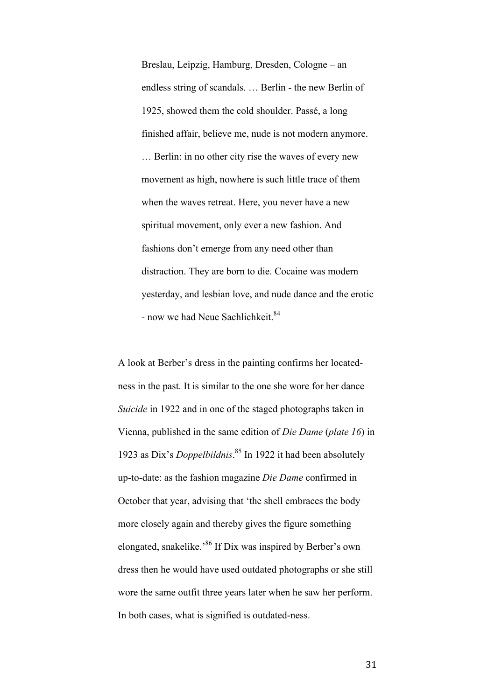Breslau, Leipzig, Hamburg, Dresden, Cologne – an endless string of scandals. … Berlin - the new Berlin of 1925, showed them the cold shoulder. Passé, a long finished affair, believe me, nude is not modern anymore. … Berlin: in no other city rise the waves of every new movement as high, nowhere is such little trace of them when the waves retreat. Here, you never have a new spiritual movement, only ever a new fashion. And fashions don't emerge from any need other than distraction. They are born to die. Cocaine was modern yesterday, and lesbian love, and nude dance and the erotic - now we had Neue Sachlichkeit.<sup>84</sup>

A look at Berber's dress in the painting confirms her locatedness in the past. It is similar to the one she wore for her dance *Suicide* in 1922 and in one of the staged photographs taken in Vienna, published in the same edition of *Die Dame* (*plate 16*) in 1923 as Dix's *Doppelbildnis*. <sup>85</sup> In 1922 it had been absolutely up-to-date: as the fashion magazine *Die Dame* confirmed in October that year, advising that 'the shell embraces the body more closely again and thereby gives the figure something elongated, snakelike.'86 If Dix was inspired by Berber's own dress then he would have used outdated photographs or she still wore the same outfit three years later when he saw her perform. In both cases, what is signified is outdated-ness.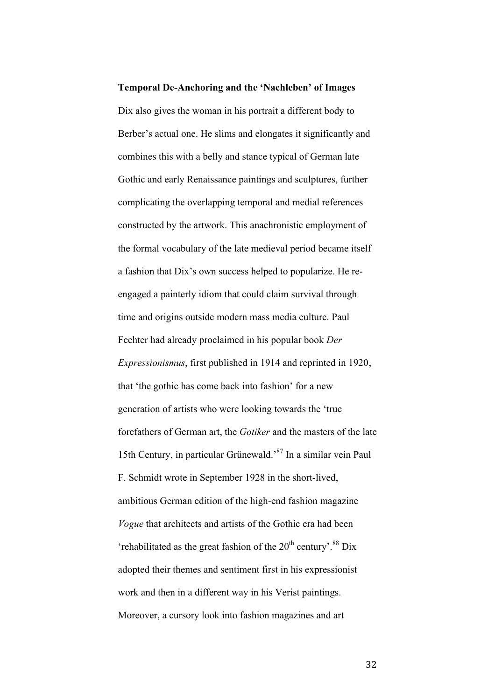**Temporal De-Anchoring and the 'Nachleben' of Images**  Dix also gives the woman in his portrait a different body to Berber's actual one. He slims and elongates it significantly and combines this with a belly and stance typical of German late Gothic and early Renaissance paintings and sculptures, further complicating the overlapping temporal and medial references constructed by the artwork. This anachronistic employment of the formal vocabulary of the late medieval period became itself a fashion that Dix's own success helped to popularize. He reengaged a painterly idiom that could claim survival through time and origins outside modern mass media culture. Paul Fechter had already proclaimed in his popular book *Der Expressionismus*, first published in 1914 and reprinted in 1920, that 'the gothic has come back into fashion' for a new generation of artists who were looking towards the 'true forefathers of German art, the *Gotiker* and the masters of the late 15th Century, in particular Grünewald.'87 In a similar vein Paul F. Schmidt wrote in September 1928 in the short-lived, ambitious German edition of the high-end fashion magazine *Vogue* that architects and artists of the Gothic era had been 'rehabilitated as the great fashion of the  $20<sup>th</sup>$  century'.<sup>88</sup> Dix adopted their themes and sentiment first in his expressionist work and then in a different way in his Verist paintings. Moreover, a cursory look into fashion magazines and art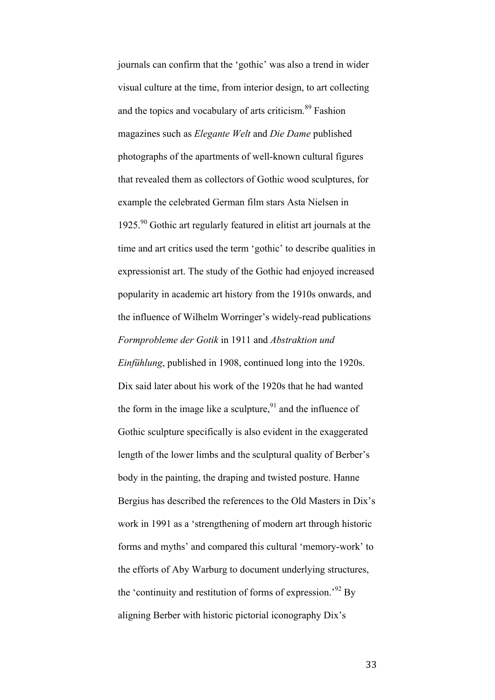journals can confirm that the 'gothic' was also a trend in wider visual culture at the time, from interior design, to art collecting and the topics and vocabulary of arts criticism.<sup>89</sup> Fashion magazines such as *Elegante Welt* and *Die Dame* published photographs of the apartments of well-known cultural figures that revealed them as collectors of Gothic wood sculptures, for example the celebrated German film stars Asta Nielsen in 1925.<sup>90</sup> Gothic art regularly featured in elitist art journals at the time and art critics used the term 'gothic' to describe qualities in expressionist art. The study of the Gothic had enjoyed increased popularity in academic art history from the 1910s onwards, and the influence of Wilhelm Worringer's widely-read publications *Formprobleme der Gotik* in 1911 and *Abstraktion und Einfühlung*, published in 1908, continued long into the 1920s. Dix said later about his work of the 1920s that he had wanted the form in the image like a sculpture.<sup>91</sup> and the influence of Gothic sculpture specifically is also evident in the exaggerated length of the lower limbs and the sculptural quality of Berber's body in the painting, the draping and twisted posture. Hanne Bergius has described the references to the Old Masters in Dix's work in 1991 as a 'strengthening of modern art through historic forms and myths' and compared this cultural 'memory-work' to the efforts of Aby Warburg to document underlying structures, the 'continuity and restitution of forms of expression.<sup>92</sup> By aligning Berber with historic pictorial iconography Dix's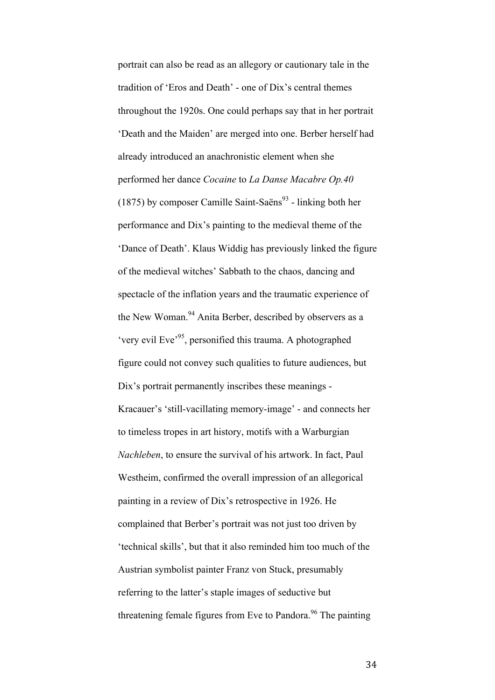portrait can also be read as an allegory or cautionary tale in the tradition of 'Eros and Death' - one of Dix's central themes throughout the 1920s. One could perhaps say that in her portrait 'Death and the Maiden' are merged into one. Berber herself had already introduced an anachronistic element when she performed her dance *Cocaine* to *La Danse Macabre Op.40* (1875) by composer Camille Saint-Saëns<sup>93</sup> - linking both her performance and Dix's painting to the medieval theme of the 'Dance of Death'. Klaus Widdig has previously linked the figure of the medieval witches' Sabbath to the chaos, dancing and spectacle of the inflation years and the traumatic experience of the New Woman.<sup>94</sup> Anita Berber, described by observers as a 'very evil Eve<sup>'95</sup>, personified this trauma. A photographed figure could not convey such qualities to future audiences, but Dix's portrait permanently inscribes these meanings - Kracauer's 'still-vacillating memory-image' - and connects her to timeless tropes in art history, motifs with a Warburgian *Nachleben*, to ensure the survival of his artwork. In fact, Paul Westheim, confirmed the overall impression of an allegorical painting in a review of Dix's retrospective in 1926. He complained that Berber's portrait was not just too driven by 'technical skills', but that it also reminded him too much of the Austrian symbolist painter Franz von Stuck, presumably referring to the latter's staple images of seductive but threatening female figures from Eve to Pandora.<sup>96</sup> The painting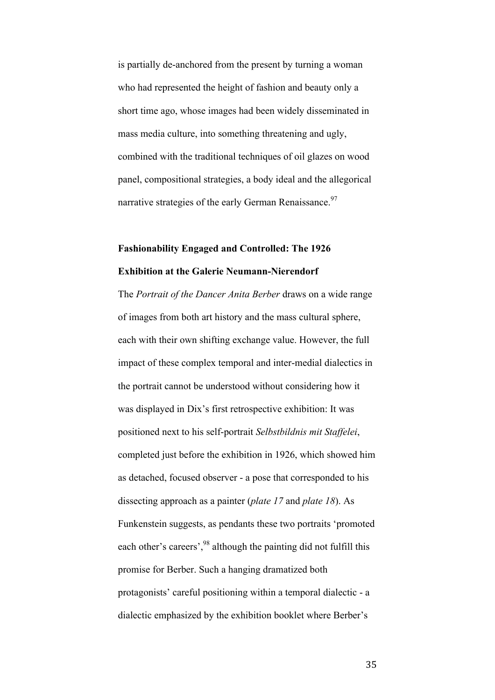is partially de-anchored from the present by turning a woman who had represented the height of fashion and beauty only a short time ago, whose images had been widely disseminated in mass media culture, into something threatening and ugly, combined with the traditional techniques of oil glazes on wood panel, compositional strategies, a body ideal and the allegorical narrative strategies of the early German Renaissance.<sup>97</sup>

### **Fashionability Engaged and Controlled: The 1926 Exhibition at the Galerie Neumann-Nierendorf**

The *Portrait of the Dancer Anita Berber* draws on a wide range of images from both art history and the mass cultural sphere, each with their own shifting exchange value. However, the full impact of these complex temporal and inter-medial dialectics in the portrait cannot be understood without considering how it was displayed in Dix's first retrospective exhibition: It was positioned next to his self-portrait *Selbstbildnis mit Staffelei*, completed just before the exhibition in 1926, which showed him as detached, focused observer - a pose that corresponded to his dissecting approach as a painter (*plate 17* and *plate 18*). As Funkenstein suggests, as pendants these two portraits 'promoted each other's careers',<sup>98</sup> although the painting did not fulfill this promise for Berber. Such a hanging dramatized both protagonists' careful positioning within a temporal dialectic - a dialectic emphasized by the exhibition booklet where Berber's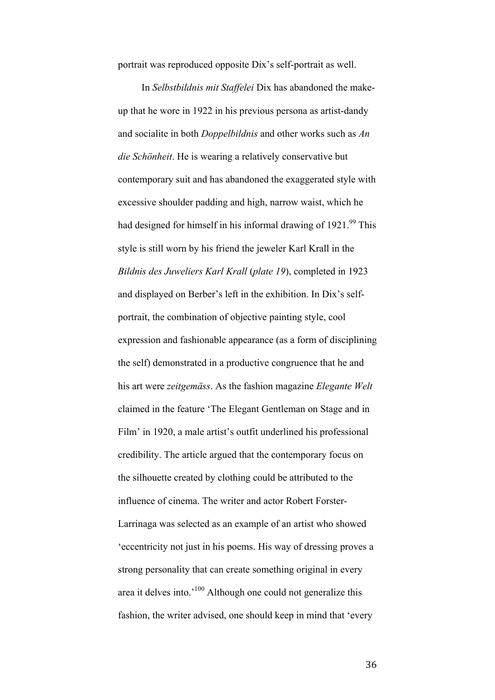portrait was reproduced opposite Dix's self-portrait as well.

In *Selbstbildnis mit Staffelei* Dix has abandoned the makeup that he wore in 1922 in his previous persona as artist-dandy and socialite in both *Doppelbildnis* and other works such as *An die Schönheit*. He is wearing a relatively conservative but contemporary suit and has abandoned the exaggerated style with excessive shoulder padding and high, narrow waist, which he had designed for himself in his informal drawing of 1921.<sup>99</sup> This style is still worn by his friend the jeweler Karl Krall in the *Bildnis des Juweliers Karl Krall* (*plate 19*), completed in 1923 and displayed on Berber's left in the exhibition. In Dix's selfportrait, the combination of objective painting style, cool expression and fashionable appearance (as a form of disciplining the self) demonstrated in a productive congruence that he and his art were *zeitgemäss*. As the fashion magazine *Elegante Welt* claimed in the feature 'The Elegant Gentleman on Stage and in Film' in 1920, a male artist's outfit underlined his professional credibility. The article argued that the contemporary focus on the silhouette created by clothing could be attributed to the influence of cinema. The writer and actor Robert Forster-Larrinaga was selected as an example of an artist who showed 'eccentricity not just in his poems. His way of dressing proves a strong personality that can create something original in every area it delves into.'100 Although one could not generalize this fashion, the writer advised, one should keep in mind that 'every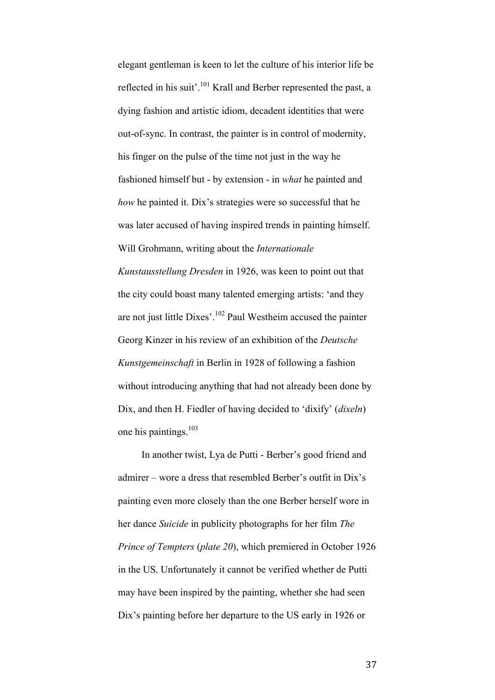elegant gentleman is keen to let the culture of his interior life be reflected in his suit'.<sup>101</sup> Krall and Berber represented the past, a dying fashion and artistic idiom, decadent identities that were out-of-sync. In contrast, the painter is in control of modernity, his finger on the pulse of the time not just in the way he fashioned himself but - by extension - in *what* he painted and *how* he painted it. Dix's strategies were so successful that he was later accused of having inspired trends in painting himself. Will Grohmann, writing about the *Internationale Kunstausstellung Dresden* in 1926, was keen to point out that the city could boast many talented emerging artists: 'and they are not just little Dixes'.<sup>102</sup> Paul Westheim accused the painter Georg Kinzer in his review of an exhibition of the *Deutsche Kunstgemeinschaft* in Berlin in 1928 of following a fashion without introducing anything that had not already been done by Dix, and then H. Fiedler of having decided to 'dixify' (*dixeln*) one his paintings. 103

In another twist, Lya de Putti - Berber's good friend and admirer – wore a dress that resembled Berber's outfit in Dix's painting even more closely than the one Berber herself wore in her dance *Suicide* in publicity photographs for her film *The Prince of Tempters* (*plate 20*), which premiered in October 1926 in the US. Unfortunately it cannot be verified whether de Putti may have been inspired by the painting, whether she had seen Dix's painting before her departure to the US early in 1926 or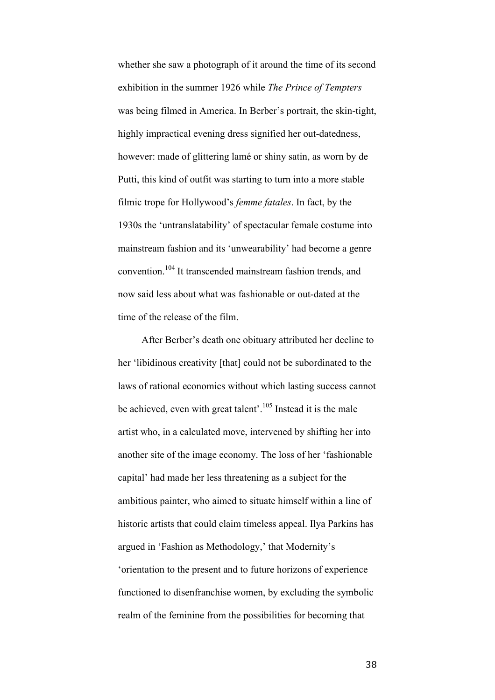whether she saw a photograph of it around the time of its second exhibition in the summer 1926 while *The Prince of Tempters* was being filmed in America. In Berber's portrait, the skin-tight, highly impractical evening dress signified her out-datedness, however: made of glittering lamé or shiny satin, as worn by de Putti, this kind of outfit was starting to turn into a more stable filmic trope for Hollywood's *femme fatales*. In fact, by the 1930s the 'untranslatability' of spectacular female costume into mainstream fashion and its 'unwearability' had become a genre convention. <sup>104</sup> It transcended mainstream fashion trends, and now said less about what was fashionable or out-dated at the time of the release of the film.

After Berber's death one obituary attributed her decline to her 'libidinous creativity [that] could not be subordinated to the laws of rational economics without which lasting success cannot be achieved, even with great talent'.<sup>105</sup> Instead it is the male artist who, in a calculated move, intervened by shifting her into another site of the image economy. The loss of her 'fashionable capital' had made her less threatening as a subject for the ambitious painter, who aimed to situate himself within a line of historic artists that could claim timeless appeal. Ilya Parkins has argued in 'Fashion as Methodology,' that Modernity's 'orientation to the present and to future horizons of experience functioned to disenfranchise women, by excluding the symbolic realm of the feminine from the possibilities for becoming that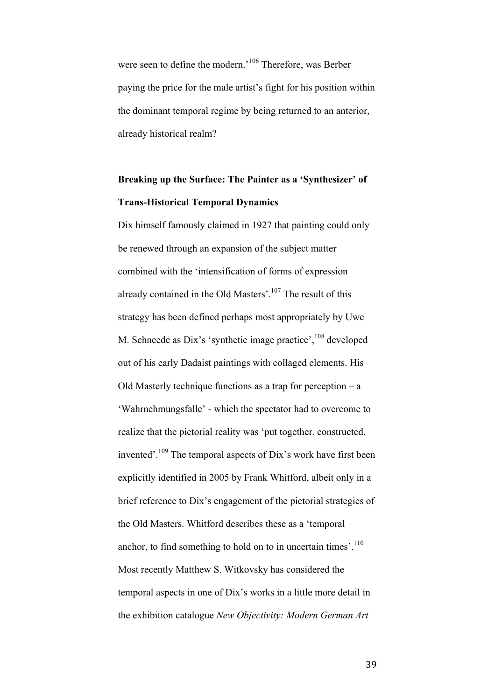were seen to define the modern.'106 Therefore, was Berber paying the price for the male artist's fight for his position within the dominant temporal regime by being returned to an anterior, already historical realm?

## **Breaking up the Surface: The Painter as a 'Synthesizer' of Trans-Historical Temporal Dynamics**

Dix himself famously claimed in 1927 that painting could only be renewed through an expansion of the subject matter combined with the 'intensification of forms of expression already contained in the Old Masters'.<sup>107</sup> The result of this strategy has been defined perhaps most appropriately by Uwe M. Schneede as Dix's 'synthetic image practice',<sup>108</sup> developed out of his early Dadaist paintings with collaged elements. His Old Masterly technique functions as a trap for perception – a 'Wahrnehmungsfalle' - which the spectator had to overcome to realize that the pictorial reality was 'put together, constructed, invented'.<sup>109</sup> The temporal aspects of Dix's work have first been explicitly identified in 2005 by Frank Whitford, albeit only in a brief reference to Dix's engagement of the pictorial strategies of the Old Masters. Whitford describes these as a 'temporal anchor, to find something to hold on to in uncertain times'.<sup>110</sup> Most recently Matthew S. Witkovsky has considered the temporal aspects in one of Dix's works in a little more detail in the exhibition catalogue *New Objectivity: Modern German Art*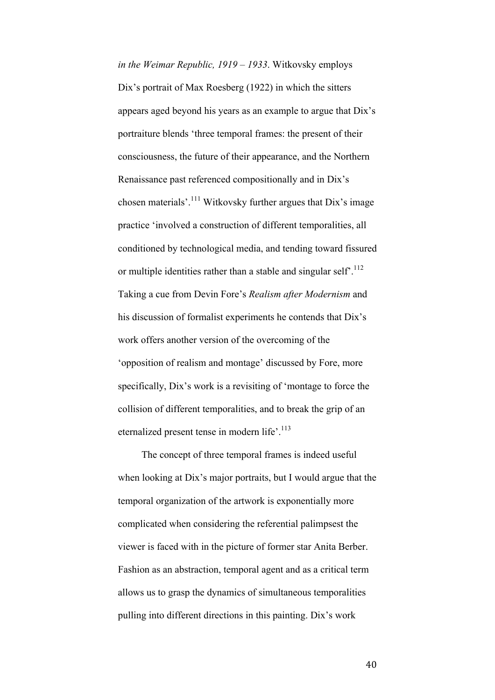*in the Weimar Republic, 1919 – 1933*. Witkovsky employs Dix's portrait of Max Roesberg (1922) in which the sitters appears aged beyond his years as an example to argue that Dix's portraiture blends 'three temporal frames: the present of their consciousness, the future of their appearance, and the Northern Renaissance past referenced compositionally and in Dix's chosen materials'.<sup>111</sup> Witkovsky further argues that Dix's image practice 'involved a construction of different temporalities, all conditioned by technological media, and tending toward fissured or multiple identities rather than a stable and singular self<sup>-112</sup> Taking a cue from Devin Fore's *Realism after Modernism* and his discussion of formalist experiments he contends that Dix's work offers another version of the overcoming of the 'opposition of realism and montage' discussed by Fore, more specifically, Dix's work is a revisiting of 'montage to force the collision of different temporalities, and to break the grip of an eternalized present tense in modern life'.<sup>113</sup>

The concept of three temporal frames is indeed useful when looking at Dix's major portraits, but I would argue that the temporal organization of the artwork is exponentially more complicated when considering the referential palimpsest the viewer is faced with in the picture of former star Anita Berber. Fashion as an abstraction, temporal agent and as a critical term allows us to grasp the dynamics of simultaneous temporalities pulling into different directions in this painting. Dix's work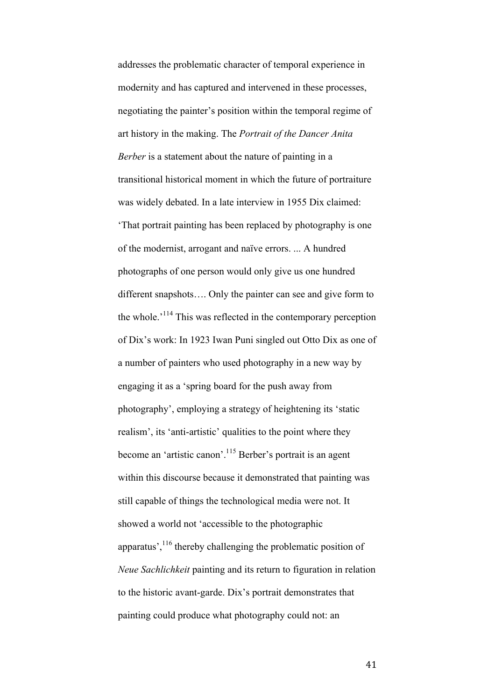addresses the problematic character of temporal experience in modernity and has captured and intervened in these processes, negotiating the painter's position within the temporal regime of art history in the making. The *Portrait of the Dancer Anita Berber* is a statement about the nature of painting in a transitional historical moment in which the future of portraiture was widely debated. In a late interview in 1955 Dix claimed: 'That portrait painting has been replaced by photography is one of the modernist, arrogant and naïve errors. ... A hundred photographs of one person would only give us one hundred different snapshots…. Only the painter can see and give form to the whole.<sup>114</sup> This was reflected in the contemporary perception of Dix's work: In 1923 Iwan Puni singled out Otto Dix as one of a number of painters who used photography in a new way by engaging it as a 'spring board for the push away from photography', employing a strategy of heightening its 'static realism', its 'anti-artistic' qualities to the point where they become an 'artistic canon'.<sup>115</sup> Berber's portrait is an agent within this discourse because it demonstrated that painting was still capable of things the technological media were not. It showed a world not 'accessible to the photographic apparatus',  $116$  thereby challenging the problematic position of *Neue Sachlichkeit* painting and its return to figuration in relation to the historic avant-garde. Dix's portrait demonstrates that painting could produce what photography could not: an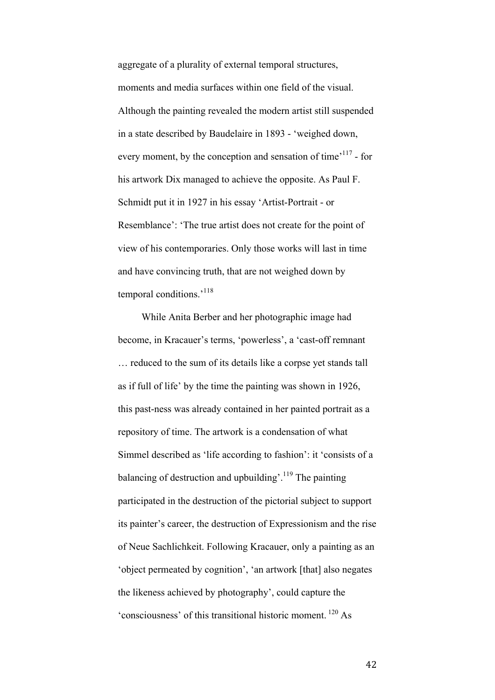aggregate of a plurality of external temporal structures, moments and media surfaces within one field of the visual. Although the painting revealed the modern artist still suspended in a state described by Baudelaire in 1893 - 'weighed down, every moment, by the conception and sensation of time<sup>,117</sup> - for his artwork Dix managed to achieve the opposite. As Paul F. Schmidt put it in 1927 in his essay 'Artist-Portrait - or Resemblance': 'The true artist does not create for the point of view of his contemporaries. Only those works will last in time and have convincing truth, that are not weighed down by temporal conditions.<sup>'118</sup>

While Anita Berber and her photographic image had become, in Kracauer's terms, 'powerless', a 'cast-off remnant … reduced to the sum of its details like a corpse yet stands tall as if full of life' by the time the painting was shown in 1926, this past-ness was already contained in her painted portrait as a repository of time. The artwork is a condensation of what Simmel described as 'life according to fashion': it 'consists of a balancing of destruction and upbuilding'.<sup>119</sup> The painting participated in the destruction of the pictorial subject to support its painter's career, the destruction of Expressionism and the rise of Neue Sachlichkeit. Following Kracauer, only a painting as an 'object permeated by cognition', 'an artwork [that] also negates the likeness achieved by photography', could capture the 'consciousness' of this transitional historic moment. <sup>120</sup> As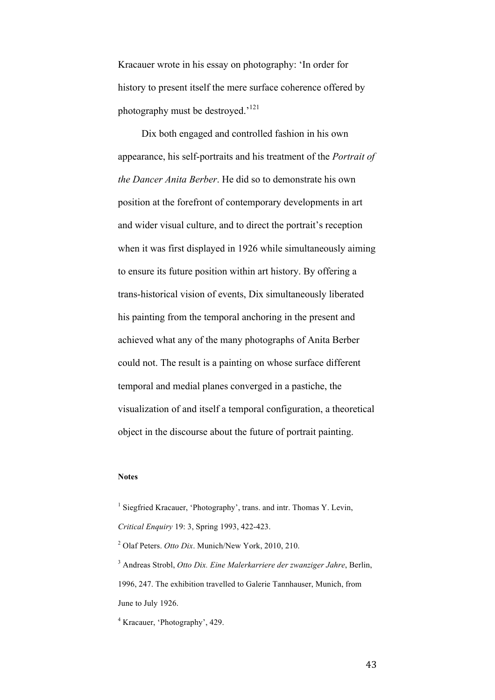Kracauer wrote in his essay on photography: 'In order for history to present itself the mere surface coherence offered by photography must be destroyed.'121

Dix both engaged and controlled fashion in his own appearance, his self-portraits and his treatment of the *Portrait of the Dancer Anita Berber*. He did so to demonstrate his own position at the forefront of contemporary developments in art and wider visual culture, and to direct the portrait's reception when it was first displayed in 1926 while simultaneously aiming to ensure its future position within art history. By offering a trans-historical vision of events, Dix simultaneously liberated his painting from the temporal anchoring in the present and achieved what any of the many photographs of Anita Berber could not. The result is a painting on whose surface different temporal and medial planes converged in a pastiche, the visualization of and itself a temporal configuration, a theoretical object in the discourse about the future of portrait painting.

#### **Notes**

<sup>&</sup>lt;sup>1</sup> Siegfried Kracauer, 'Photography', trans. and intr. Thomas Y. Levin, *Critical Enquiry* 19: 3, Spring 1993, 422-423.

<sup>2</sup> Olaf Peters. *Otto Dix*. Munich/New York, 2010, 210.

<sup>3</sup> Andreas Strobl, *Otto Dix. Eine Malerkarriere der zwanziger Jahre*, Berlin, 1996, 247. The exhibition travelled to Galerie Tannhauser, Munich, from June to July 1926.

<sup>4</sup> Kracauer, 'Photography', 429.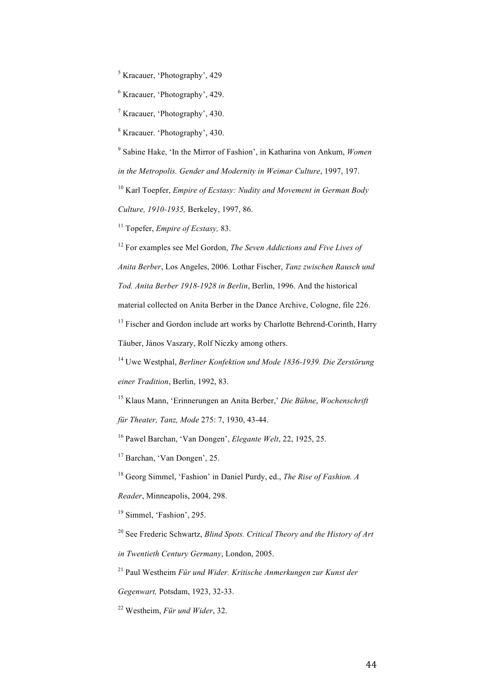<sup>5</sup> Kracauer, 'Photography', 429

<sup>6</sup> Kracauer, 'Photography', 429.

<sup>7</sup> Kracauer, 'Photography', 430.

<sup>8</sup> Kracauer. 'Photography', 430.

<sup>9</sup> Sabine Hake, 'In the Mirror of Fashion', in Katharina von Ankum, *Women in the Metropolis. Gender and Modernity in Weimar Culture*, 1997, 197.

<sup>10</sup> Karl Toepfer, *Empire of Ecstasy: Nudity and Movement in German Body Culture, 1910-1935,* Berkeley, 1997, 86.

<sup>11</sup> Topefer, *Empire of Ecstasy,* 83.

<sup>12</sup> For examples see Mel Gordon, *The Seven Addictions and Five Lives of Anita Berber*, Los Angeles, 2006. Lothar Fischer, *Tanz zwischen Rausch und Tod. Anita Berber 1918-1928 in Berlin*, Berlin, 1996. And the historical material collected on Anita Berber in the Dance Archive, Cologne, file 226. <sup>13</sup> Fischer and Gordon include art works by Charlotte Behrend-Corinth, Harry

Täuber, János Vaszary, Rolf Niczky among others.

<sup>14</sup> Uwe Westphal, *Berliner Konfektion und Mode 1836-1939. Die Zerstörung einer Tradition*, Berlin, 1992, 83.

<sup>15</sup> Klaus Mann, 'Erinnerungen an Anita Berber,' *Die Bühne*, *Wochenschrift für Theater, Tanz, Mode* 275: 7, 1930, 43-44.

<sup>16</sup> Pawel Barchan, 'Van Dongen', *Elegante Welt*, 22, 1925, 25.

<sup>17</sup> Barchan, 'Van Dongen', 25.

<sup>18</sup> Georg Simmel, 'Fashion' in Daniel Purdy, ed., *The Rise of Fashion. A* 

*Reader*, Minneapolis, 2004, 298.

<sup>19</sup> Simmel, 'Fashion', 295.

<sup>20</sup> See Frederic Schwartz, *Blind Spots. Critical Theory and the History of Art in Twentieth Century Germany*, London, 2005.

<sup>21</sup> Paul Westheim *Für und Wider. Kritische Anmerkungen zur Kunst der* 

*Gegenwart,* Potsdam, 1923, 32-33.

<sup>22</sup> Westheim, *Für und Wider*, 32.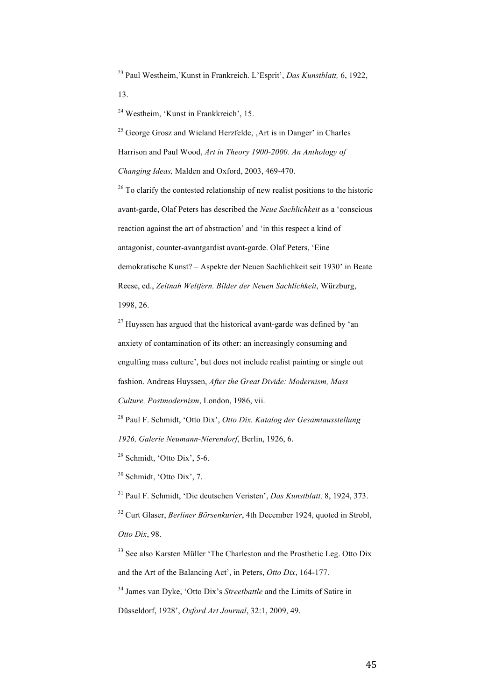<sup>23</sup> Paul Westheim,'Kunst in Frankreich. L'Esprit', *Das Kunstblatt,* 6, 1922, 13.

<sup>24</sup> Westheim, 'Kunst in Frankkreich', 15.

 $25$  George Grosz and Wieland Herzfelde,  $\Delta$ rt is in Danger' in Charles Harrison and Paul Wood, *Art in Theory 1900-2000. An Anthology of Changing Ideas,* Malden and Oxford, 2003, 469-470.

 $26$  To clarify the contested relationship of new realist positions to the historic avant-garde, Olaf Peters has described the *Neue Sachlichkeit* as a 'conscious reaction against the art of abstraction' and 'in this respect a kind of antagonist, counter-avantgardist avant-garde. Olaf Peters, 'Eine demokratische Kunst? – Aspekte der Neuen Sachlichkeit seit 1930' in Beate Reese, ed., *Zeitnah Weltfern. Bilder der Neuen Sachlichkeit*, Würzburg, 1998, 26.

 $27$  Huyssen has argued that the historical avant-garde was defined by 'an anxiety of contamination of its other: an increasingly consuming and engulfing mass culture', but does not include realist painting or single out fashion. Andreas Huyssen, *After the Great Divide: Modernism, Mass Culture, Postmodernism*, London, 1986, vii.

<sup>28</sup> Paul F. Schmidt, 'Otto Dix', *Otto Dix. Katalog der Gesamtausstellung 1926, Galerie Neumann-Nierendorf*, Berlin, 1926, 6.

<sup>29</sup> Schmidt, 'Otto Dix', 5-6.

<sup>30</sup> Schmidt, 'Otto Dix', 7.

<sup>31</sup> Paul F. Schmidt, 'Die deutschen Veristen', *Das Kunstblatt,* 8, 1924, 373. <sup>32</sup> Curt Glaser, *Berliner Börsenkurier*, 4th December 1924, quoted in Strobl, *Otto Dix*, 98.

<sup>33</sup> See also Karsten Müller 'The Charleston and the Prosthetic Leg. Otto Dix and the Art of the Balancing Act', in Peters, *Otto Dix*, 164-177.

<sup>34</sup> James van Dyke, 'Otto Dix's *Streetbattle* and the Limits of Satire in Düsseldorf, 1928', *Oxford Art Journal*, 32:1, 2009, 49.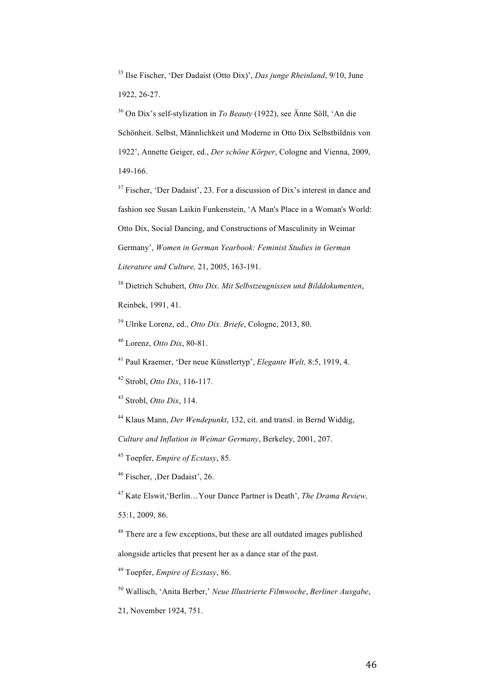<sup>35</sup> Ilse Fischer, 'Der Dadaist (Otto Dix)', *Das junge Rheinland*, 9/10, June 1922, 26-27.

<sup>36</sup> On Dix's self-stylization in *To Beauty* (1922), see Änne Söll, 'An die Schönheit. Selbst, Männlichkeit und Moderne in Otto Dix Selbstbildnis von 1922', Annette Geiger, ed., *Der schöne Körper*, Cologne and Vienna, 2009, 149-166.

<sup>37</sup> Fischer, 'Der Dadaist', 23. For a discussion of Dix's interest in dance and fashion see Susan Laikin Funkenstein, 'A Man's Place in a Woman's World: Otto Dix, Social Dancing, and Constructions of Masculinity in Weimar Germany', *Women in German Yearbook: Feminist Studies in German Literature and Culture,* 21, 2005, 163-191.

<sup>38</sup> Dietrich Schubert, *Otto Dix*. *Mit Selbstzeugnissen und Bilddokumenten*,

Reinbek, 1991, 41.

<sup>39</sup> Ulrike Lorenz, ed., *Otto Dix. Briefe*, Cologne, 2013, 80.

<sup>40</sup> Lorenz, *Otto Dix*, 80-81.

<sup>41</sup> Paul Kraemer, 'Der neue Künstlertyp', *Elegante Welt,* 8:5, 1919, 4.

<sup>42</sup> Strobl, *Otto Dix*, 116-117.

<sup>43</sup> Strobl, *Otto Dix*, 114.

<sup>44</sup> Klaus Mann, *Der Wendepunkt*, 132, cit. and transl. in Bernd Widdig,

*Culture and Inflation in Weimar Germany*, Berkeley, 2001, 207.

<sup>45</sup> Toepfer, *Empire of Ecstasy*, 85.

<sup>46</sup> Fischer, Der Dadaist', 26.

<sup>47</sup> Kate Elswit,'Berlin…Your Dance Partner is Death', *The Drama Review,*

53:1, 2009, 86.

<sup>48</sup> There are a few exceptions, but these are all outdated images published alongside articles that present her as a dance star of the past.

<sup>49</sup> Toepfer, *Empire of Ecstasy*, 86.

<sup>50</sup> Wallisch, 'Anita Berber,' *Neue Illustrierte Filmwoche*, *Berliner Ausgabe*,

21, November 1924, 751.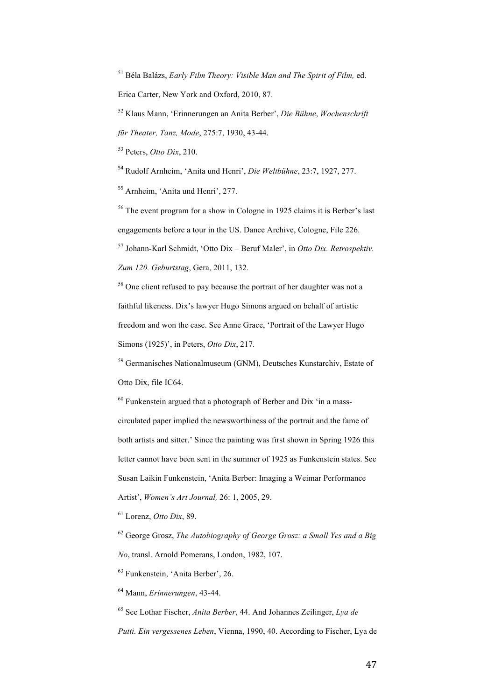<sup>51</sup> Béla Balázs, *Early Film Theory: Visible Man and The Spirit of Film,* ed. Erica Carter, New York and Oxford, 2010, 87.

<sup>52</sup> Klaus Mann, 'Erinnerungen an Anita Berber', *Die Bühne*, *Wochenschrift* 

*für Theater, Tanz, Mode*, 275:7, 1930, 43-44.

<sup>53</sup> Peters, *Otto Dix*, 210.

<sup>54</sup> Rudolf Arnheim, 'Anita und Henri', *Die Weltbühne*, 23:7, 1927, 277.

<sup>55</sup> Arnheim, 'Anita und Henri', 277.

<sup>56</sup> The event program for a show in Cologne in 1925 claims it is Berber's last engagements before a tour in the US. Dance Archive, Cologne, File 226.

<sup>57</sup> Johann-Karl Schmidt, 'Otto Dix – Beruf Maler', in *Otto Dix. Retrospektiv. Zum 120. Geburtstag*, Gera, 2011, 132.

<sup>58</sup> One client refused to pay because the portrait of her daughter was not a faithful likeness. Dix's lawyer Hugo Simons argued on behalf of artistic freedom and won the case. See Anne Grace, 'Portrait of the Lawyer Hugo Simons (1925)', in Peters, *Otto Dix*, 217.

<sup>59</sup> Germanisches Nationalmuseum (GNM), Deutsches Kunstarchiv, Estate of Otto Dix, file IC64.

 $60$  Funkenstein argued that a photograph of Berber and Dix 'in a masscirculated paper implied the newsworthiness of the portrait and the fame of both artists and sitter.' Since the painting was first shown in Spring 1926 this letter cannot have been sent in the summer of 1925 as Funkenstein states. See Susan Laikin Funkenstein, 'Anita Berber: Imaging a Weimar Performance Artist', *Women's Art Journal,* 26: 1, 2005, 29.

<sup>61</sup> Lorenz, *Otto Dix*, 89.

<sup>62</sup> George Grosz, *The Autobiography of George Grosz: a Small Yes and a Big No*, transl. Arnold Pomerans, London, 1982, 107.

<sup>63</sup> Funkenstein, 'Anita Berber', 26.

<sup>64</sup> Mann, *Erinnerungen*, 43-44.

<sup>65</sup> See Lothar Fischer, *Anita Berber*, 44. And Johannes Zeilinger, *Lya de* 

*Putti. Ein vergessenes Leben*, Vienna, 1990, 40. According to Fischer, Lya de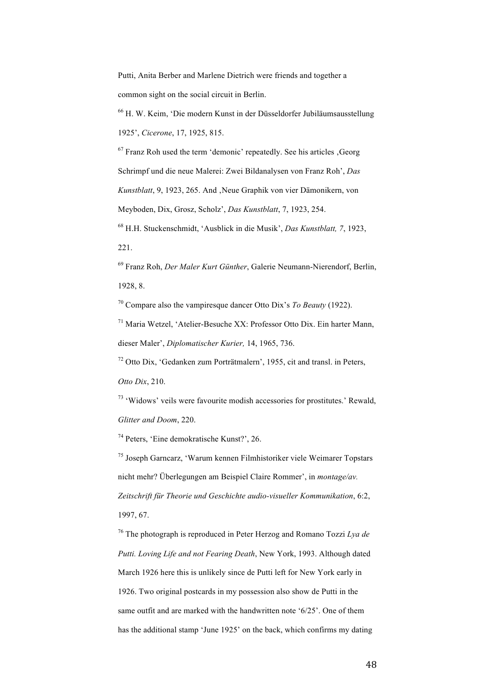Putti, Anita Berber and Marlene Dietrich were friends and together a common sight on the social circuit in Berlin.

<sup>66</sup> H. W. Keim, 'Die modern Kunst in der Düsseldorfer Jubiläumsausstellung 1925', *Cicerone*, 17, 1925, 815.

 $67$  Franz Roh used the term 'demonic' repeatedly. See his articles  $Ge$ Schrimpf und die neue Malerei: Zwei Bildanalysen von Franz Roh', *Das Kunstblatt*, 9, 1923, 265. And , Neue Graphik von vier Dämonikern, von Meyboden, Dix, Grosz, Scholz', *Das Kunstblatt*, 7, 1923, 254.

<sup>68</sup> H.H. Stuckenschmidt, 'Ausblick in die Musik', *Das Kunstblatt, 7*, 1923, 221.

<sup>69</sup> Franz Roh, *Der Maler Kurt Günther*, Galerie Neumann-Nierendorf, Berlin, 1928, 8.

<sup>70</sup> Compare also the vampiresque dancer Otto Dix's *To Beauty* (1922).

 $71$  Maria Wetzel, 'Atelier-Besuche XX: Professor Otto Dix. Ein harter Mann, dieser Maler', *Diplomatischer Kurier,* 14, 1965, 736.

 $72$  Otto Dix, 'Gedanken zum Porträtmalern', 1955, cit and transl. in Peters

*Otto Dix*, 210.

<sup>73</sup> 'Widows' veils were favourite modish accessories for prostitutes.' Rewald, *Glitter and Doom*, 220.

<sup>74</sup> Peters, 'Eine demokratische Kunst?', 26.

<sup>75</sup> Joseph Garncarz, 'Warum kennen Filmhistoriker viele Weimarer Topstars nicht mehr? Überlegungen am Beispiel Claire Rommer', in *montage/av. Zeitschrift für Theorie und Geschichte audio-visueller Kommunikation*, 6:2, 1997, 67.

<sup>76</sup> The photograph is reproduced in Peter Herzog and Romano Tozzi *Lya de Putti. Loving Life and not Fearing Death*, New York, 1993. Although dated March 1926 here this is unlikely since de Putti left for New York early in 1926. Two original postcards in my possession also show de Putti in the same outfit and are marked with the handwritten note '6/25'. One of them has the additional stamp 'June 1925' on the back, which confirms my dating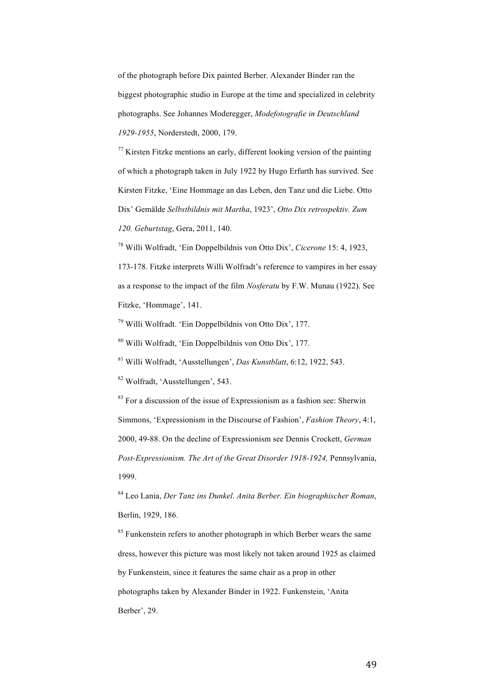of the photograph before Dix painted Berber. Alexander Binder ran the biggest photographic studio in Europe at the time and specialized in celebrity photographs. See Johannes Moderegger, *Modefotografie in Deutschland 1929-1955*, Norderstedt, 2000, 179.

 $^{77}$  Kirsten Fitzke mentions an early, different looking version of the painting of which a photograph taken in July 1922 by Hugo Erfurth has survived. See Kirsten Fitzke, 'Eine Hommage an das Leben, den Tanz und die Liebe. Otto Dix' Gemälde *Selbstbildnis mit Martha*, 1923', *Otto Dix retrospektiv. Zum 120. Geburtstag*, Gera, 2011, 140.

<sup>78</sup> Willi Wolfradt, 'Ein Doppelbildnis von Otto Dix', *Cicerone* 15: 4, 1923, 173-178. Fitzke interprets Willi Wolfradt's reference to vampires in her essay as a response to the impact of the film *Nosferatu* by F.W. Munau (1922). See Fitzke, 'Hommage', 141.

<sup>79</sup> Willi Wolfradt. 'Ein Doppelbildnis von Otto Dix', 177.

<sup>80</sup> Willi Wolfradt, 'Ein Doppelbildnis von Otto Dix', 177.

<sup>81</sup> Willi Wolfradt, 'Ausstellungen', *Das Kunstblatt*, 6:12, 1922, 543.

<sup>82</sup> Wolfradt, 'Ausstellungen', 543.

 $83$  For a discussion of the issue of Expressionism as a fashion see: Sherwin Simmons, 'Expressionism in the Discourse of Fashion', *Fashion Theory*, 4:1, 2000, 49-88. On the decline of Expressionism see Dennis Crockett, *German Post-Expressionism. The Art of the Great Disorder 1918-1924,* Pennsylvania, 1999.

<sup>84</sup> Leo Lania, *Der Tanz ins Dunkel. Anita Berber. Ein biographischer Roman*, Berlin, 1929, 186.

<sup>85</sup> Funkenstein refers to another photograph in which Berber wears the same dress, however this picture was most likely not taken around 1925 as claimed by Funkenstein, since it features the same chair as a prop in other photographs taken by Alexander Binder in 1922. Funkenstein, 'Anita Berber', 29.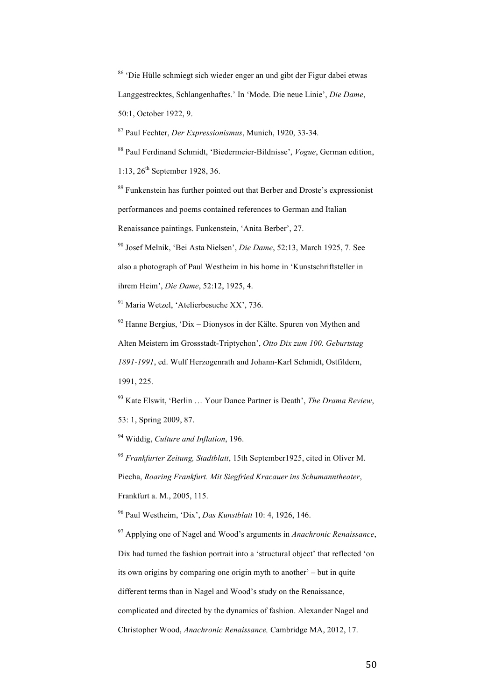<sup>86</sup> 'Die Hülle schmiegt sich wieder enger an und gibt der Figur dabei etwas Langgestrecktes, Schlangenhaftes.' In 'Mode. Die neue Linie', *Die Dame*, 50:1, October 1922, 9.

<sup>87</sup> Paul Fechter, *Der Expressionismus*, Munich, 1920, 33-34.

<sup>88</sup> Paul Ferdinand Schmidt, 'Biedermeier-Bildnisse', *Vogue*, German edition,

1:13,  $26^{th}$  September 1928, 36.

<sup>89</sup> Funkenstein has further pointed out that Berber and Droste's expressionist performances and poems contained references to German and Italian Renaissance paintings. Funkenstein, 'Anita Berber', 27.

<sup>90</sup> Josef Melnik, 'Bei Asta Nielsen', *Die Dame*, 52:13, March 1925, 7. See also a photograph of Paul Westheim in his home in 'Kunstschriftsteller in ihrem Heim', *Die Dame*, 52:12, 1925, 4.

<sup>91</sup> Maria Wetzel, 'Atelierbesuche XX', 736.

 $92$  Hanne Bergius, 'Dix – Dionysos in der Kälte. Spuren von Mythen and Alten Meistern im Grossstadt-Triptychon', *Otto Dix zum 100. Geburtstag 1891-1991*, ed. Wulf Herzogenrath and Johann-Karl Schmidt, Ostfildern, 1991, 225.

<sup>93</sup> Kate Elswit, 'Berlin … Your Dance Partner is Death', *The Drama Review*, 53: 1, Spring 2009, 87.

<sup>94</sup> Widdig, *Culture and Inflation*, 196.

<sup>95</sup> *Frankfurter Zeitung, Stadtblatt*, 15th September1925, cited in Oliver M.

Piecha, *Roaring Frankfurt. Mit Siegfried Kracauer ins Schumanntheater*, Frankfurt a. M., 2005, 115.

<sup>96</sup> Paul Westheim, 'Dix', *Das Kunstblatt* 10: 4, 1926, 146.

<sup>97</sup> Applying one of Nagel and Wood's arguments in *Anachronic Renaissance*, Dix had turned the fashion portrait into a 'structural object' that reflected 'on its own origins by comparing one origin myth to another' – but in quite different terms than in Nagel and Wood's study on the Renaissance, complicated and directed by the dynamics of fashion. Alexander Nagel and Christopher Wood, *Anachronic Renaissance,* Cambridge MA, 2012, 17.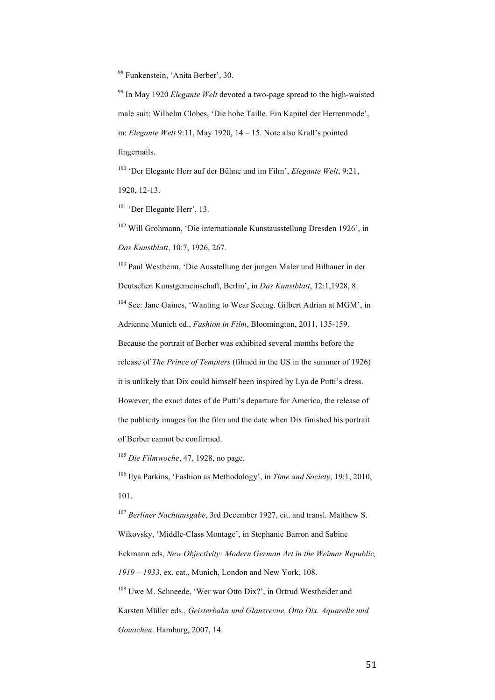<sup>98</sup> Funkenstein, 'Anita Berber', 30.

<sup>99</sup> In May 1920 *Elegante Welt* devoted a two-page spread to the high-waisted male suit: Wilhelm Clobes, 'Die hohe Taille. Ein Kapitel der Herrenmode', in: *Elegante Welt* 9:11, May 1920, 14 – 15. Note also Krall's pointed fingernails.

<sup>100</sup> 'Der Elegante Herr auf der Bühne und im Film', *Elegante Welt*, 9:21, 1920, 12-13.

<sup>101</sup> 'Der Elegante Herr', 13.

<sup>102</sup> Will Grohmann, 'Die internationale Kunstausstellung Dresden 1926', in *Das Kunstblatt*, 10:7, 1926, 267.

<sup>103</sup> Paul Westheim, 'Die Ausstellung der jungen Maler und Bilhauer in der Deutschen Kunstgemeinschaft, Berlin', in *Das Kunstblatt*, 12:1,1928, 8.

<sup>104</sup> See: Jane Gaines, 'Wanting to Wear Seeing. Gilbert Adrian at MGM', in Adrienne Munich ed., *Fashion in Film*, Bloomington, 2011, 135-159.

Because the portrait of Berber was exhibited several months before the

release of *The Prince of Tempters* (filmed in the US in the summer of 1926)

it is unlikely that Dix could himself been inspired by Lya de Putti's dress.

However, the exact dates of de Putti's departure for America, the release of the publicity images for the film and the date when Dix finished his portrait of Berber cannot be confirmed.

<sup>105</sup> *Die Filmwoche*, 47, 1928, no page.

<sup>106</sup> Ilya Parkins, 'Fashion as Methodology', in *Time and Society*, 19:1, 2010, 101.

<sup>107</sup> *Berliner Nachtausgabe*, 3rd December 1927, cit. and transl. Matthew S. Wikovsky, 'Middle-Class Montage', in Stephanie Barron and Sabine Eckmann eds, *New Objectivity: Modern German Art in the Weimar Republic, 1919 – 1933*, ex. cat., Munich, London and New York, 108. <sup>108</sup> Uwe M. Schneede, 'Wer war Otto Dix?', in Ortrud Westheider and Karsten Müller eds., *Geisterbahn und Glanzrevue. Otto Dix. Aquarelle und* 

*Gouachen*. Hamburg, 2007, 14.